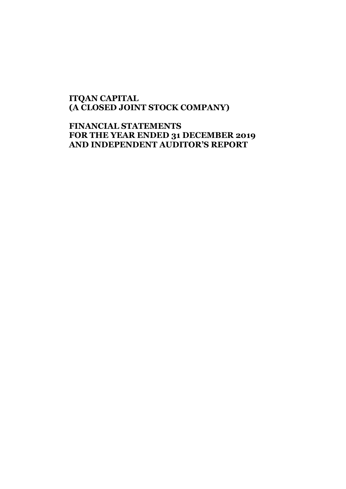# **ITQAN CAPITAL (A CLOSED JOINT STOCK COMPANY)**

**FINANCIAL STATEMENTS FOR THE YEAR ENDED 31 DECEMBER 2019 AND INDEPENDENT AUDITOR'S REPORT**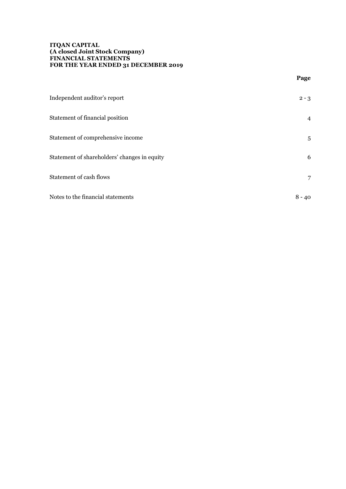### **ITQAN CAPITAL (A closed Joint Stock Company) FINANCIAL STATEMENTS FOR THE YEAR ENDED 31 DECEMBER 2019**

| Independent auditor's report                 | $2 - 3$        |
|----------------------------------------------|----------------|
| Statement of financial position              | $\overline{4}$ |
| Statement of comprehensive income            | 5              |
| Statement of shareholders' changes in equity | 6              |
| Statement of cash flows                      | 7              |
| Notes to the financial statements            | $8 - 40$       |

**Page**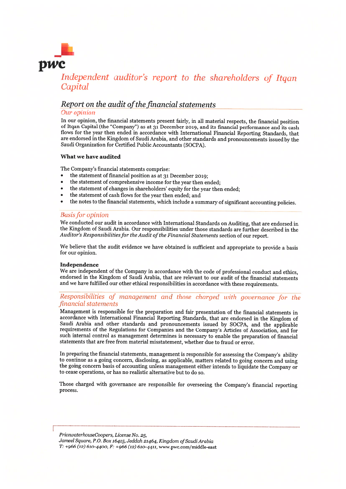

# Independent auditor's report to the shareholders of Itgan Capital

## Report on the audit of the financial statements

### Our opinion

In our opinion, the financial statements present fairly, in all material respects, the financial position of Itgan Capital (the "Company") as at 31 December 2019, and its financial performance and its cash flows for the year then ended in accordance with International Financial Reporting Standards, that are endorsed in the Kingdom of Saudi Arabia, and other standards and pronouncements issued by the Saudi Organization for Certified Public Accountants (SOCPA).

#### What we have audited

The Company's financial statements comprise:

- the statement of financial position as at 31 December 2019:  $\bullet$
- the statement of comprehensive income for the year then ended:
- the statement of changes in shareholders' equity for the year then ended:
- the statement of cash flows for the year then ended; and
- the notes to the financial statements, which include a summary of significant accounting policies.

### **Basis for opinion**

We conducted our audit in accordance with International Standards on Auditing, that are endorsed in the Kingdom of Saudi Arabia. Our responsibilities under those standards are further described in the Auditor's Responsibilities for the Audit of the Financial Statements section of our report.

We believe that the audit evidence we have obtained is sufficient and appropriate to provide a basis for our opinion.

#### Independence

We are independent of the Company in accordance with the code of professional conduct and ethics, endorsed in the Kingdom of Saudi Arabia, that are relevant to our audit of the financial statements and we have fulfilled our other ethical responsibilities in accordance with these requirements.

## Responsibilities of management and those charged with governance for the financial statements

Management is responsible for the preparation and fair presentation of the financial statements in accordance with International Financial Reporting Standards, that are endorsed in the Kingdom of Saudi Arabia and other standards and pronouncements issued by SOCPA, and the applicable requirements of the Regulations for Companies and the Company's Articles of Association, and for such internal control as management determines is necessary to enable the preparation of financial statements that are free from material misstatement, whether due to fraud or error.

In preparing the financial statements, management is responsible for assessing the Company's ability to continue as a going concern, disclosing, as applicable, matters related to going concern and using the going concern basis of accounting unless management either intends to liquidate the Company or to cease operations, or has no realistic alternative but to do so.

Those charged with governance are responsible for overseeing the Company's financial reporting process.

PricewaterhouseCoopers, License No. 25,

Jameel Square, P.O. Box 16415, Jeddah 21464, Kingdom of Saudi Arabia T: +966 (12) 610-4400, F: +966 (12) 610-4411, www.pwc.com/middle-east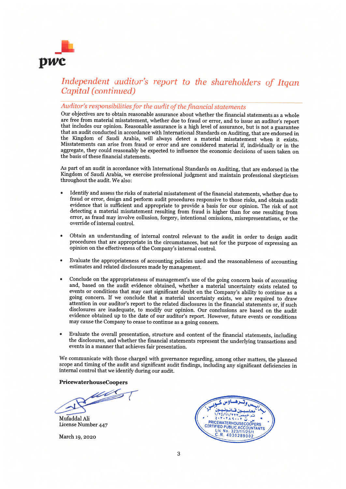

# Independent auditor's report to the shareholders of Itgan Capital (continued)

## Auditor's responsibilities for the audit of the financial statements

Our objectives are to obtain reasonable assurance about whether the financial statements as a whole are free from material misstatement, whether due to fraud or error, and to issue an auditor's report that includes our opinion. Reasonable assurance is a high level of assurance, but is not a guarantee that an audit conducted in accordance with International Standards on Auditing, that are endorsed in the Kingdom of Saudi Arabia, will always detect a material misstatement when it exists. Misstatements can arise from fraud or error and are considered material if, individually or in the aggregate, they could reasonably be expected to influence the economic decisions of users taken on the basis of these financial statements.

As part of an audit in accordance with International Standards on Auditing, that are endorsed in the Kingdom of Saudi Arabia, we exercise professional judgment and maintain professional skepticism throughout the audit. We also:

- Identify and assess the risks of material misstatement of the financial statements, whether due to fraud or error, design and perform audit procedures responsive to those risks, and obtain audit evidence that is sufficient and appropriate to provide a basis for our opinion. The risk of not detecting a material misstatement resulting from fraud is higher than for one resulting from error, as fraud may involve collusion, forgery, intentional omissions, misrepresentations, or the override of internal control.
- Obtain an understanding of internal control relevant to the audit in order to design audit procedures that are appropriate in the circumstances, but not for the purpose of expressing an opinion on the effectiveness of the Company's internal control.
- Evaluate the appropriateness of accounting policies used and the reasonableness of accounting estimates and related disclosures made by management.
- Conclude on the appropriateness of management's use of the going concern basis of accounting and, based on the audit evidence obtained, whether a material uncertainty exists related to events or conditions that may cast significant doubt on the Company's ability to continue as a going concern. If we conclude that a material uncertainty exists, we are required to draw attention in our auditor's report to the related disclosures in the financial statements or, if such disclosures are inadequate, to modify our opinion. Our conclusions are based on the audit evidence obtained up to the date of our auditor's report. However, future events or conditions may cause the Company to cease to continue as a going concern.
- Evaluate the overall presentation, structure and content of the financial statements, including the disclosures, and whether the financial statements represent the underlying transactions and events in a manner that achieves fair presentation.

We communicate with those charged with governance regarding, among other matters, the planned scope and timing of the audit and significant audit findings, including any significant deficiencies in internal control that we identify during our audit.

**PricewaterhouseCoopers** 

Mufaddal Ali License Number 447

March 19, 2020

 $2.7.714.$ **PRICEWATERHOUSECOOPERS** CERTIFIED PUBLIC ACCOUNTAN C.R. 4030289002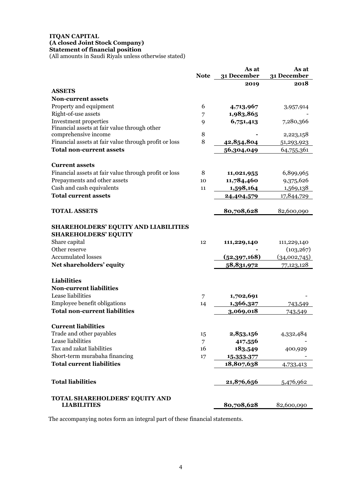## **ITQAN CAPITAL (A closed Joint Stock Company) Statement of financial position**

(All amounts in Saudi Riyals unless otherwise stated)

|                                                       |             | As at          | As at        |
|-------------------------------------------------------|-------------|----------------|--------------|
|                                                       | <b>Note</b> | 31 December    | 31 December  |
|                                                       |             | 2019           | 2018         |
| <b>ASSETS</b>                                         |             |                |              |
| <b>Non-current assets</b>                             |             |                |              |
| Property and equipment                                | 6           | 4,713,967      | 3,957,914    |
| Right-of-use assets                                   | 7           | 1,983,865      |              |
| Investment properties                                 | 9           | 6,751,413      | 7,280,366    |
| Financial assets at fair value through other          |             |                |              |
| comprehensive income                                  | 8           |                | 2,223,158    |
| Financial assets at fair value through profit or loss | 8           | 42,854,804     | 51,293,923   |
| <b>Total non-current assets</b>                       |             | 56,304,049     | 64,755,361   |
| <b>Current assets</b>                                 |             |                |              |
| Financial assets at fair value through profit or loss | 8           | 11,021,955     | 6,899,965    |
| Prepayments and other assets                          | 10          | 11,784,460     | 9,375,626    |
| Cash and cash equivalents                             | 11          | 1,598,164      | 1,569,138    |
| <b>Total current assets</b>                           |             | 24,404,579     | 17,844,729   |
| <b>TOTAL ASSETS</b>                                   |             | 80,708,628     | 82,600,090   |
|                                                       |             |                |              |
| SHAREHOLDERS' EQUITY AND LIABILITIES                  |             |                |              |
| <b>SHAREHOLDERS' EQUITY</b>                           |             |                |              |
| Share capital                                         | 12          | 111,229,140    | 111,229,140  |
| Other reserve                                         |             |                | (103, 267)   |
| <b>Accumulated losses</b>                             |             | (52, 397, 168) | (34,002,745) |
| Net shareholders' equity                              |             | 58,831,972     | 77,123,128   |
| <b>Liabilities</b>                                    |             |                |              |
| <b>Non-current liabilities</b>                        |             |                |              |
| Lease liabilities                                     | 7           | 1,702,691      |              |
| Employee benefit obligations                          | 14          | 1,366,327      | 743,549      |
| <b>Total non-current liabilities</b>                  |             | 3,069,018      | 743,549      |
|                                                       |             |                |              |
| <b>Current liabilities</b>                            |             |                |              |
| Trade and other payables                              | 15          | 2,853,156      | 4,332,484    |
| Lease liabilities                                     | 7           | 417,556        |              |
| Tax and zakat liabilities                             | 16          | 183,549        | 400,929      |
| Short-term murabaha financing                         | 17          | 15,353,377     |              |
| <b>Total current liabilities</b>                      |             | 18,807,638     | 4,733,413    |
| <b>Total liabilities</b>                              |             | 21,876,656     | 5,476,962    |
|                                                       |             |                |              |
| TOTAL SHAREHOLDERS' EQUITY AND<br><b>LIABILITIES</b>  |             | 80,708,628     | 82,600,090   |
|                                                       |             |                |              |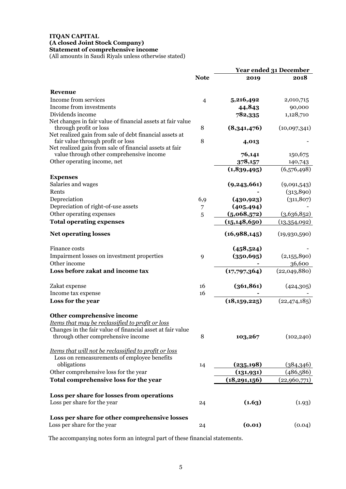### **ITQAN CAPITAL (A closed Joint Stock Company) Statement of comprehensive income** (All amounts in Saudi Riyals unless otherwise stated)

|                                                                                              |                | Year ended 31 December |                |
|----------------------------------------------------------------------------------------------|----------------|------------------------|----------------|
|                                                                                              | <b>Note</b>    | 2019                   | 2018           |
| Revenue                                                                                      |                |                        |                |
| Income from services                                                                         | $\overline{4}$ | 5,216,492              | 2,010,715      |
| Income from investments                                                                      |                | 44,843                 | 90,000         |
| Dividends income                                                                             |                | 782,335                | 1,128,710      |
| Net changes in fair value of financial assets at fair value                                  |                |                        |                |
| through profit or loss                                                                       | 8              | (8,341,476)            | (10,097,341)   |
| Net realized gain from sale of debt financial assets at                                      |                |                        |                |
| fair value through profit or loss<br>Net realized gain from sale of financial assets at fair | 8              | 4,013                  |                |
| value through other comprehensive income                                                     |                | 76,141                 | 150,675        |
| Other operating income, net                                                                  |                | 378,157                | 140,743        |
|                                                                                              |                | (1,839,495)            | (6,576,498)    |
| <b>Expenses</b>                                                                              |                |                        |                |
| Salaries and wages                                                                           |                | (9,243,661)            | (9,091,543)    |
| Rents                                                                                        |                |                        | (313, 890)     |
| Depreciation                                                                                 | 6,9            | (430, 923)             | (311, 807)     |
| Depreciation of right-of-use assets                                                          | 7              | (405, 494)             |                |
| Other operating expenses                                                                     | 5              | (5,068,572)            | (3,636,852)    |
| <b>Total operating expenses</b>                                                              |                | (15, 148, 650)         | (13,354,092)   |
| <b>Net operating losses</b>                                                                  |                | (16,988,145)           | (19,930,590)   |
| Finance costs                                                                                |                | (458, 524)             |                |
| Impairment losses on investment properties                                                   | 9              | (350, 695)             | (2,155,890)    |
| Other income                                                                                 |                |                        | 36,600         |
| Loss before zakat and income tax                                                             |                | (17,797,364)           | (22,049,880)   |
| Zakat expense                                                                                | 16             | (361, 861)             | (424,305)      |
| Income tax expense                                                                           | 16             |                        |                |
| Loss for the year                                                                            |                | (18, 159, 225)         | (22, 474, 185) |
| Other comprehensive income                                                                   |                |                        |                |
| Items that may be reclassified to profit or loss                                             |                |                        |                |
| Changes in the fair value of financial asset at fair value                                   |                |                        |                |
| through other comprehensive income                                                           | 8              | 103,267                | (102, 240)     |
| Items that will not be reclassified to profit or loss                                        |                |                        |                |
| Loss on remeasurements of employee benefits                                                  |                |                        |                |
| obligations                                                                                  | 14             | (235, 198)             | (384,346)      |
| Other comprehensive loss for the year                                                        |                | (131, 931)             | (486,586)      |
| Total comprehensive loss for the year                                                        |                | (18,291,156)           | (22,960,771)   |
| Loss per share for losses from operations                                                    |                |                        |                |
| Loss per share for the year                                                                  | 24             | (1.63)                 | (1.93)         |
| Loss per share for other comprehensive losses                                                |                |                        |                |
| Loss per share for the year                                                                  | 24             | (0.01)                 | (0.04)         |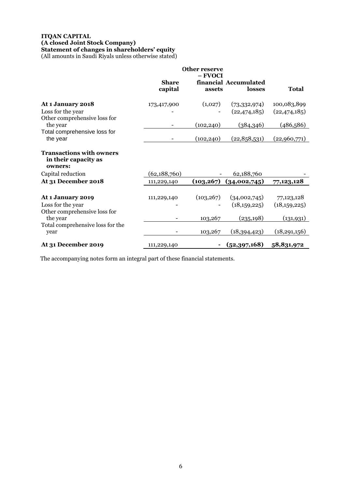### **ITQAN CAPITAL (A closed Joint Stock Company) Statement of changes in shareholders' equity**  (All amounts in Saudi Riyals unless otherwise stated)

|                                                                        |                         | Other reserve<br>- FVOCI   |                                 |                               |
|------------------------------------------------------------------------|-------------------------|----------------------------|---------------------------------|-------------------------------|
|                                                                        | <b>Share</b><br>capital | assets                     | financial Accumulated<br>losses | <b>Total</b>                  |
| At 1 January 2018<br>Loss for the year<br>Other comprehensive loss for | 173,417,900             | (1,027)                    | (73,332,974)<br>(22, 474, 185)  | 100,083,899<br>(22, 474, 185) |
| the year                                                               |                         | (102, 240)                 | (384,346)                       | (486,586)                     |
| Total comprehensive loss for<br>the year                               |                         | (102, 240)                 | (22,858,531)                    | (22,960,771)                  |
| <b>Transactions with owners</b><br>in their capacity as<br>owners:     |                         |                            |                                 |                               |
| Capital reduction                                                      | (62, 188, 760)          |                            | 62,188,760                      |                               |
| At 31 December 2018                                                    | 111,229,140             | (34,002,745)<br>(103, 267) |                                 | 77,123,128                    |
| At 1 January 2019<br>Loss for the year<br>Other comprehensive loss for | 111,229,140             | (103, 267)                 | (34,002,745)<br>(18, 159, 225)  | 77,123,128<br>(18, 159, 225)  |
| the year                                                               |                         | 103,267                    | (235, 198)                      | (131, 931)                    |
| Total comprehensive loss for the<br>year                               |                         | 103,267                    | (18,394,423)                    | (18,291,156)                  |
| At 31 December 2019                                                    | 111,229,140             |                            | (52,397,168)                    | 58,831,972                    |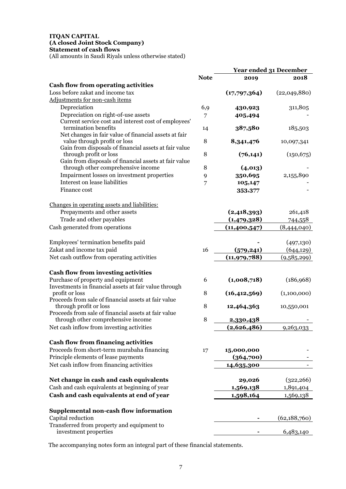### **ITQAN CAPITAL (A closed Joint Stock Company) Statement of cash flows** (All amounts in Saudi Riyals unless otherwise stated)

|                                                                                       |             |                    | Year ended 31 December |
|---------------------------------------------------------------------------------------|-------------|--------------------|------------------------|
|                                                                                       | <b>Note</b> | 2019               | 2018                   |
| <b>Cash flow from operating activities</b>                                            |             |                    |                        |
| Loss before zakat and income tax                                                      |             | (17,797,364)       | (22,049,880)           |
| Adjustments for non-cash items                                                        |             |                    |                        |
| Depreciation                                                                          | 6,9         | 430,923            | 311,805                |
| Depreciation on right-of-use assets                                                   | 7           | 405,494            |                        |
| Current service cost and interest cost of employees'                                  |             |                    |                        |
| termination benefits                                                                  | 14          | 387,580            | 185,503                |
| Net changes in fair value of financial assets at fair<br>value through profit or loss | 8           |                    |                        |
| Gain from disposals of financial assets at fair value                                 |             | 8,341,476          | 10,097,341             |
| through profit or loss                                                                | 8           | (76, 141)          | (150, 675)             |
| Gain from disposals of financial assets at fair value                                 |             |                    |                        |
| through other comprehensive income                                                    | 8           | (4,013)            |                        |
| Impairment losses on investment properties                                            | 9           | 350,695            | 2,155,890              |
| Interest on lease liabilities                                                         | 7           | 105,147            |                        |
| Finance cost                                                                          |             | 353,377            |                        |
|                                                                                       |             |                    |                        |
| Changes in operating assets and liabilities:                                          |             |                    |                        |
| Prepayments and other assets                                                          |             | (2,418,393)        | 261,418                |
| Trade and other payables                                                              |             | <u>(1,479,328)</u> | 744,558                |
| Cash generated from operations                                                        |             | (11,400,547)       | (8,444,040)            |
|                                                                                       |             |                    |                        |
| Employees' termination benefits paid                                                  |             |                    | (497,130)              |
| Zakat and income tax paid                                                             | 16          | (579, 241)         | (644, 129)             |
| Net cash outflow from operating activities                                            |             | (11, 979, 788)     | (9,585,299)            |
|                                                                                       |             |                    |                        |
| <b>Cash flow from investing activities</b>                                            |             |                    |                        |
| Purchase of property and equipment                                                    | 6           | (1,008,718)        | (186, 968)             |
| Investments in financial assets at fair value through<br>profit or loss               | 8           | (16, 412, 569)     | (1,100,000)            |
| Proceeds from sale of financial assets at fair value                                  |             |                    |                        |
| through profit or loss                                                                | 8           | 12,464,363         | 10,550,001             |
| Proceeds from sale of financial assets at fair value                                  |             |                    |                        |
| through other comprehensive income                                                    | 8           | 2,330,438          |                        |
| Net cash inflow from investing activities                                             |             | (2,626,486)        | 9,263,033              |
|                                                                                       |             |                    |                        |
| <b>Cash flow from financing activities</b>                                            |             |                    |                        |
| Proceeds from short-term murabaha financing                                           | 17          | 15,000,000         |                        |
| Principle elements of lease payments                                                  |             | (364,700)          |                        |
| Net cash inflow from financing activities                                             |             | 14,635,300         |                        |
|                                                                                       |             |                    |                        |
| Net change in cash and cash equivalents                                               |             | 29,026             | (322, 266)             |
| Cash and cash equivalents at beginning of year                                        |             | 1,569,138          | 1,891,404              |
| Cash and cash equivalents at end of year                                              |             | 1,598,164          | 1,569,138              |
|                                                                                       |             |                    |                        |
| Supplemental non-cash flow information                                                |             |                    |                        |
| Capital reduction                                                                     |             |                    | (62,188,760)           |
| Transferred from property and equipment to<br>investment properties                   |             |                    | 6,483,140              |
|                                                                                       |             |                    |                        |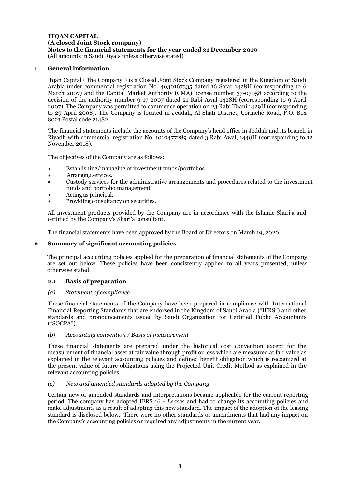## **1 General information**

Itqan Capital ("the Company") is a Closed Joint Stock Company registered in the Kingdom of Saudi Arabia under commercial registration No. 4030167335 dated 16 Safar 1428H (corresponding to 6 March 2007) and the Capital Market Authority (CMA) license number 37-07058 according to the decision of the authority number 9-17-2007 dated 21 Rabi Awal 1428H (corresponding to 9 April 2007). The Company was permitted to commence operation on 23 Rabi Thani 1429H (corresponding to 29 April 2008). The Company is located in Jeddah, Al-Shati District, Corniche Road, P.O. Box 8021 Postal code 21482.

The financial statements include the accounts of the Company's head office in Jeddah and its branch in Riyadh with commercial registration No. 1010477289 dated 3 Rabi Awal, 1440H (corresponding to 12 November 2018).

The objectives of the Company are as follows:

- Establishing/managing of investment funds/portfolios.
- Arranging services.
- Custody services for the administrative arrangements and procedures related to the investment funds and portfolio management.
- Acting as principal.
- Providing consultancy on securities.

All investment products provided by the Company are in accordance with the Islamic Shari'a and certified by the Company's Shari'a consultant.

The financial statements have been approved by the Board of Directors on March 19, 2020.

### **2 Summary of significant accounting policies**

The principal accounting policies applied for the preparation of financial statements of the Company are set out below. These policies have been consistently applied to all years presented, unless otherwise stated.

## **2.1 Basis of preparation**

### *(a) Statement of compliance*

These financial statements of the Company have been prepared in compliance with International Financial Reporting Standards that are endorsed in the Kingdom of Saudi Arabia ("IFRS") and other standards and pronouncements issued by Saudi Organization for Certified Public Accountants ("SOCPA").

## *(b) Accounting convention / Basis of measurement*

These financial statements are prepared under the historical cost convention except for the measurement of financial asset at fair value through profit or loss which are measured at fair value as explained in the relevant accounting policies and defined benefit obligation which is recognized at the present value of future obligations using the Projected Unit Credit Method as explained in the relevant accounting policies.

## *(c) New and amended standards adopted by the Company*

Certain new or amended standards and interpretations became applicable for the current reporting period. The company has adopted IFRS 16 - *Leases* and had to change its accounting policies and make adjustments as a result of adopting this new standard. The impact of the adoption of the leasing standard is disclosed below. There were no other standards or amendments that had any impact on the Company's accounting policies or required any adjustments in the current year.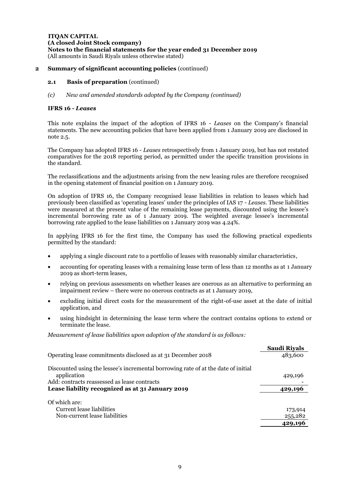## **2 Summary of significant accounting policies** (continued)

## **2.1 Basis of preparation** (continued)

*(c) New and amended standards adopted by the Company (continued)*

## **IFRS 16 -** *Leases*

This note explains the impact of the adoption of IFRS 16 - *Leases* on the Company's financial statements. The new accounting policies that have been applied from 1 January 2019 are disclosed in note 2.5.

The Company has adopted IFRS 16 - *Leases* retrospectively from 1 January 2019, but has not restated comparatives for the 2018 reporting period, as permitted under the specific transition provisions in the standard.

The reclassifications and the adjustments arising from the new leasing rules are therefore recognised in the opening statement of financial position on 1 January 2019.

On adoption of IFRS 16, the Company recognised lease liabilities in relation to leases which had previously been classified as 'operating leases' under the principles of IAS 17 - *Leases*. These liabilities were measured at the present value of the remaining lease payments, discounted using the lessee's incremental borrowing rate as of 1 January 2019. The weighted average lessee's incremental borrowing rate applied to the lease liabilities on 1 January 2019 was 4.24%.

In applying IFRS 16 for the first time, the Company has used the following practical expedients permitted by the standard:

- applying a single discount rate to a portfolio of leases with reasonably similar characteristics,
- accounting for operating leases with a remaining lease term of less than 12 months as at 1 January 2019 as short-term leases,
- relying on previous assessments on whether leases are onerous as an alternative to performing an impairment review – there were no onerous contracts as at 1 January 2019,
- excluding initial direct costs for the measurement of the right-of-use asset at the date of initial application, and
- using hindsight in determining the lease term where the contract contains options to extend or terminate the lease.

*Measurement of lease liabilities upon adoption of the standard is as follows:*

|                                                                                    | <b>Saudi Riyals</b> |
|------------------------------------------------------------------------------------|---------------------|
| Operating lease commitments disclosed as at 31 December 2018                       | 483,600             |
| Discounted using the lessee's incremental borrowing rate of at the date of initial |                     |
| application                                                                        | 429,196             |
| Add: contracts reassessed as lease contracts                                       |                     |
| Lease liability recognized as at 31 January 2019                                   | 429,196             |
| Of which are:                                                                      |                     |
| Current lease liabilities                                                          | 173,914             |
| Non-current lease liabilities                                                      | 255,282             |
|                                                                                    | 429,196             |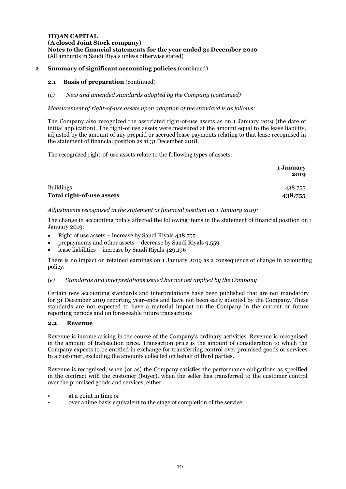## **2 Summary of significant accounting policies** (continued)

## **2.1 Basis of preparation** (continued)

## *(c) New and amended standards adopted by the Company (continued)*

*Measurement of right-of-use assets upon adoption of the standard is as follows:*

The Company also recognized the associated right-of-use assets as on 1 January 2019 (the date of initial application). The right-of use assets were measured at the amount equal to the lease liability, adjusted by the amount of any prepaid or accrued lease payments relating to that lease recognised in the statement of financial position as at 31 December 2018.

The recognized right-of-use assets relate to the following types of assets:

|                                  | 1 January<br>2019 |
|----------------------------------|-------------------|
| <b>Buildings</b>                 | 438,755           |
| <b>Total right-of-use assets</b> | 438,755           |

## *Adjustments recognised in the statement of financial position on 1 January 2019:*

The change in accounting policy affected the following items in the statement of financial position on 1 January 2019:

- Right of use assets increase by Saudi Riyals  $438,755$
- prepayments and other assets decrease by Saudi Riyals 9,559
- lease liabilities increase by Saudi Riyals 429,196

There is no impact on retained earnings on 1 January 2019 as a consequence of change in accounting policy.

## *(e) Standards and interpretations issued but not yet applied by the Company*

Certain new accounting standards and interpretations have been published that are not mandatory for 31 December 2019 reporting year-ends and have not been early adopted by the Company. These standards are not expected to have a material impact on the Company in the current or future reporting periods and on foreseeable future transactions

## **2.2 Revenue**

Revenue is income arising in the course of the Company's ordinary activities. Revenue is recognised in the amount of transaction price. Transaction price is the amount of consideration to which the Company expects to be entitled in exchange for transferring control over promised goods or services to a customer, excluding the amounts collected on behalf of third parties.

Revenue is recognised, when (or as) the Company satisfies the performance obligations as specified in the contract with the customer (buyer), when the seller has transferred to the customer control over the promised goods and services, either:

- at a point in time or
- over a time basis equivalent to the stage of completion of the service.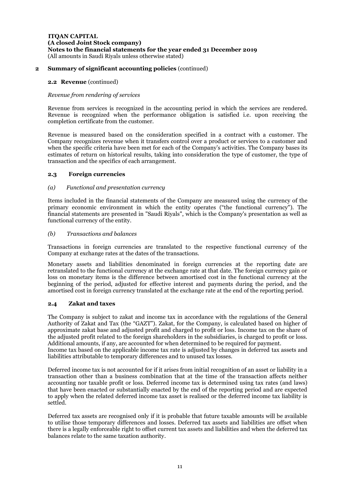## **2 Summary of significant accounting policies** (continued)

## **2.2 Revenue** (continued)

### *Revenue from rendering of services*

Revenue from services is recognized in the accounting period in which the services are rendered. Revenue is recognized when the performance obligation is satisfied i.e. upon receiving the completion certificate from the customer.

Revenue is measured based on the consideration specified in a contract with a customer. The Company recognizes revenue when it transfers control over a product or services to a customer and when the specific criteria have been met for each of the Company's activities. The Company bases its estimates of return on historical results, taking into consideration the type of customer, the type of transaction and the specifics of each arrangement.

### **2.3 Foreign currencies**

### *(a) Functional and presentation currency*

Items included in the financial statements of the Company are measured using the currency of the primary economic environment in which the entity operates ("the functional currency"). The financial statements are presented in "Saudi Riyals", which is the Company's presentation as well as functional currency of the entity.

### *(b) Transactions and balances*

Transactions in foreign currencies are translated to the respective functional currency of the Company at exchange rates at the dates of the transactions.

Monetary assets and liabilities denominated in foreign currencies at the reporting date are retranslated to the functional currency at the exchange rate at that date. The foreign currency gain or loss on monetary items is the difference between amortised cost in the functional currency at the beginning of the period, adjusted for effective interest and payments during the period, and the amortised cost in foreign currency translated at the exchange rate at the end of the reporting period.

### **2.4 Zakat and taxes**

The Company is subject to zakat and income tax in accordance with the regulations of the General Authority of Zakat and Tax (the "GAZT"). Zakat, for the Company, is calculated based on higher of approximate zakat base and adjusted profit and charged to profit or loss. Income tax on the share of the adjusted profit related to the foreign shareholders in the subsidiaries, is charged to profit or loss. Additional amounts, if any, are accounted for when determined to be required for payment. Income tax based on the applicable income tax rate is adjusted by changes in deferred tax assets and liabilities attributable to temporary differences and to unused tax losses.

Deferred income tax is not accounted for if it arises from initial recognition of an asset or liability in a transaction other than a business combination that at the time of the transaction affects neither accounting nor taxable profit or loss. Deferred income tax is determined using tax rates (and laws) that have been enacted or substantially enacted by the end of the reporting period and are expected to apply when the related deferred income tax asset is realised or the deferred income tax liability is settled.

Deferred tax assets are recognised only if it is probable that future taxable amounts will be available to utilise those temporary differences and losses. Deferred tax assets and liabilities are offset when there is a legally enforceable right to offset current tax assets and liabilities and when the deferred tax balances relate to the same taxation authority.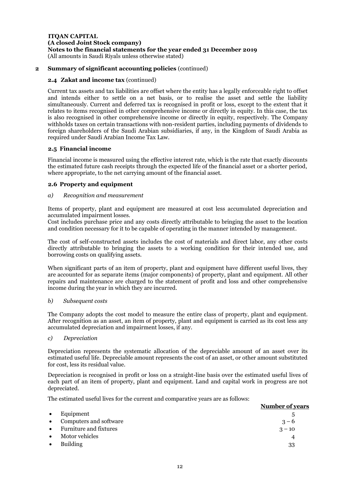## **2 Summary of significant accounting policies** (continued)

## **2.4 Zakat and income tax** (continued)

Current tax assets and tax liabilities are offset where the entity has a legally enforceable right to offset and intends either to settle on a net basis, or to realise the asset and settle the liability simultaneously. Current and deferred tax is recognised in profit or loss, except to the extent that it relates to items recognised in other comprehensive income or directly in equity. In this case, the tax is also recognised in other comprehensive income or directly in equity, respectively. The Company withholds taxes on certain transactions with non-resident parties, including payments of dividends to foreign shareholders of the Saudi Arabian subsidiaries, if any, in the Kingdom of Saudi Arabia as required under Saudi Arabian Income Tax Law.

### **2.5 Financial income**

Financial income is measured using the effective interest rate, which is the rate that exactly discounts the estimated future cash receipts through the expected life of the financial asset or a shorter period, where appropriate, to the net carrying amount of the financial asset.

### **2.6 Property and equipment**

### *a) Recognition and measurement*

Items of property, plant and equipment are measured at cost less accumulated depreciation and accumulated impairment losses.

Cost includes purchase price and any costs directly attributable to bringing the asset to the location and condition necessary for it to be capable of operating in the manner intended by management.

The cost of self-constructed assets includes the cost of materials and direct labor, any other costs directly attributable to bringing the assets to a working condition for their intended use, and borrowing costs on qualifying assets.

When significant parts of an item of property, plant and equipment have different useful lives, they are accounted for as separate items (major components) of property, plant and equipment. All other repairs and maintenance are charged to the statement of profit and loss and other comprehensive income during the year in which they are incurred.

### *b) Subsequent costs*

The Company adopts the cost model to measure the entire class of property, plant and equipment. After recognition as an asset, an item of property, plant and equipment is carried as its cost less any accumulated depreciation and impairment losses, if any.

### *c) Depreciation*

Depreciation represents the systematic allocation of the depreciable amount of an asset over its estimated useful life. Depreciable amount represents the cost of an asset, or other amount substituted for cost, less its residual value.

Depreciation is recognised in profit or loss on a straight-line basis over the estimated useful lives of each part of an item of property, plant and equipment. Land and capital work in progress are not depreciated.

The estimated useful lives for the current and comparative years are as follows:

|           |                        | Number of years |
|-----------|------------------------|-----------------|
| $\bullet$ | Equipment              | .5              |
| $\bullet$ | Computers and software | $3 - 6$         |
| $\bullet$ | Furniture and fixtures | $3 - 10$        |
| $\bullet$ | Motor vehicles         | 4               |
| $\bullet$ | <b>Building</b>        | 33              |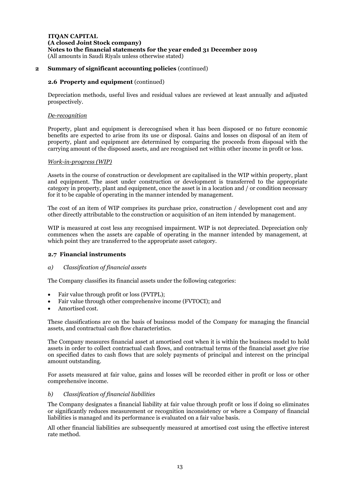## **2 Summary of significant accounting policies** (continued)

## **2.6 Property and equipment** (continued)

Depreciation methods, useful lives and residual values are reviewed at least annually and adjusted prospectively.

### *De-recognition*

Property, plant and equipment is derecognised when it has been disposed or no future economic benefits are expected to arise from its use or disposal. Gains and losses on disposal of an item of property, plant and equipment are determined by comparing the proceeds from disposal with the carrying amount of the disposed assets, and are recognised net within other income in profit or loss.

### *Work-in-progress (WIP)*

Assets in the course of construction or development are capitalised in the WIP within property, plant and equipment. The asset under construction or development is transferred to the appropriate category in property, plant and equipment, once the asset is in a location and / or condition necessary for it to be capable of operating in the manner intended by management.

The cost of an item of WIP comprises its purchase price, construction / development cost and any other directly attributable to the construction or acquisition of an item intended by management.

WIP is measured at cost less any recognised impairment. WIP is not depreciated. Depreciation only commences when the assets are capable of operating in the manner intended by management, at which point they are transferred to the appropriate asset category.

## **2.7 Financial instruments**

## *a) Classification of financial assets*

The Company classifies its financial assets under the following categories:

- Fair value through profit or loss (FVTPL);
- Fair value through other comprehensive income (FVTOCI); and
- Amortised cost.

These classifications are on the basis of business model of the Company for managing the financial assets, and contractual cash flow characteristics.

The Company measures financial asset at amortised cost when it is within the business model to hold assets in order to collect contractual cash flows, and contractual terms of the financial asset give rise on specified dates to cash flows that are solely payments of principal and interest on the principal amount outstanding.

For assets measured at fair value, gains and losses will be recorded either in profit or loss or other comprehensive income.

### *b) Classification of financial liabilities*

The Company designates a financial liability at fair value through profit or loss if doing so eliminates or significantly reduces measurement or recognition inconsistency or where a Company of financial liabilities is managed and its performance is evaluated on a fair value basis.

All other financial liabilities are subsequently measured at amortised cost using the effective interest rate method.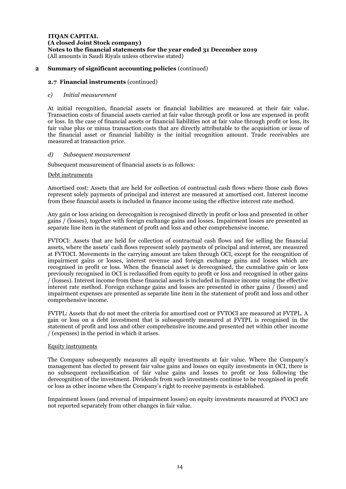## **2 Summary of significant accounting policies** (continued)

### **2.7 Financial instruments** (continued)

### *c) Initial measurement*

At initial recognition, financial assets or financial liabilities are measured at their fair value. Transaction costs of financial assets carried at fair value through profit or loss are expensed in profit or loss. In the case of financial assets or financial liabilities not at fair value through profit or loss, its fair value plus or minus transaction costs that are directly attributable to the acquisition or issue of the financial asset or financial liability is the initial recognition amount. Trade receivables are measured at transaction price.

### *d) Subsequent measurement*

Subsequent measurement of financial assets is as follows:

### Debt instruments

Amortised cost: Assets that are held for collection of contractual cash flows where those cash flows represent solely payments of principal and interest are measured at amortised cost. Interest income from these financial assets is included in finance income using the effective interest rate method.

Any gain or loss arising on derecognition is recognised directly in profit or loss and presented in other gains / (losses), together with foreign exchange gains and losses. Impairment losses are presented as separate line item in the statement of profit and loss and other comprehensive income.

FVTOCI: Assets that are held for collection of contractual cash flows and for selling the financial assets, where the assets' cash flows represent solely payments of principal and interest, are measured at FVTOCI. Movements in the carrying amount are taken through OCI, except for the recognition of impairment gains or losses, interest revenue and foreign exchange gains and losses which are recognised in profit or loss. When the financial asset is derecognised, the cumulative gain or loss previously recognised in OCI is reclassified from equity to profit or loss and recognised in other gains  $\bar{1}$  (losses). Interest income from these financial assets is included in finance income using the effective interest rate method. Foreign exchange gains and losses are presented in other gains / (losses) and impairment expenses are presented as separate line item in the statement of profit and loss and other comprehensive income.

FVTPL: Assets that do not meet the criteria for amortised cost or FVTOCI are measured at FVTPL. A gain or loss on a debt investment that is subsequently measured at FVTPL is recognised in the statement of profit and loss and other comprehensive income.and presented net within other income / (expenses) in the period in which it arises.

### Equity instruments

The Company subsequently measures all equity investments at fair value. Where the Company's management has elected to present fair value gains and losses on equity investments in OCI, there is no subsequent reclassification of fair value gains and losses to profit or loss following the derecognition of the investment. Dividends from such investments continue to be recognised in profit or loss as other income when the Company's right to receive payments is established.

Impairment losses (and reversal of impairment losses) on equity investments measured at FVOCI are not reported separately from other changes in fair value.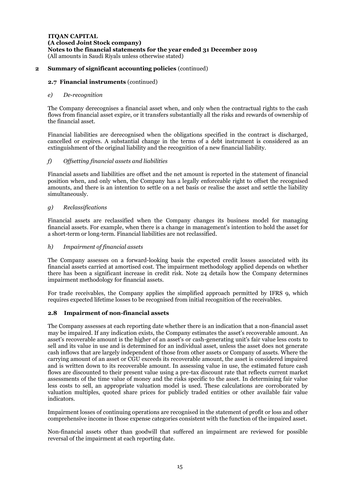## **2 Summary of significant accounting policies** (continued)

## **2.7 Financial instruments** (continued)

### *e) De-recognition*

The Company derecognises a financial asset when, and only when the contractual rights to the cash flows from financial asset expire, or it transfers substantially all the risks and rewards of ownership of the financial asset.

Financial liabilities are derecognised when the obligations specified in the contract is discharged, cancelled or expires. A substantial change in the terms of a debt instrument is considered as an extinguishment of the original liability and the recognition of a new financial liability.

### *f) Offsetting financial assets and liabilities*

Financial assets and liabilities are offset and the net amount is reported in the statement of financial position when, and only when, the Company has a legally enforceable right to offset the recognised amounts, and there is an intention to settle on a net basis or realise the asset and settle the liability simultaneously.

### *g) Reclassifications*

Financial assets are reclassified when the Company changes its business model for managing financial assets. For example, when there is a change in management's intention to hold the asset for a short-term or long-term. Financial liabilities are not reclassified.

### *h) Impairment of financial assets*

The Company assesses on a forward-looking basis the expected credit losses associated with its financial assets carried at amortised cost. The impairment methodology applied depends on whether there has been a significant increase in credit risk. Note 24 details how the Company determines impairment methodology for financial assets.

For trade receivables, the Company applies the simplified approach permitted by IFRS 9, which requires expected lifetime losses to be recognised from initial recognition of the receivables.

## **2.8 Impairment of non-financial assets**

The Company assesses at each reporting date whether there is an indication that a non-financial asset may be impaired. If any indication exists, the Company estimates the asset's recoverable amount. An asset's recoverable amount is the higher of an asset's or cash-generating unit's fair value less costs to sell and its value in use and is determined for an individual asset, unless the asset does not generate cash inflows that are largely independent of those from other assets or Company of assets. Where the carrying amount of an asset or CGU exceeds its recoverable amount, the asset is considered impaired and is written down to its recoverable amount. In assessing value in use, the estimated future cash flows are discounted to their present value using a pre-tax discount rate that reflects current market assessments of the time value of money and the risks specific to the asset. In determining fair value less costs to sell, an appropriate valuation model is used. These calculations are corroborated by valuation multiples, quoted share prices for publicly traded entities or other available fair value indicators.

Impairment losses of continuing operations are recognised in the statement of profit or loss and other comprehensive income in those expense categories consistent with the function of the impaired asset.

Non-financial assets other than goodwill that suffered an impairment are reviewed for possible reversal of the impairment at each reporting date.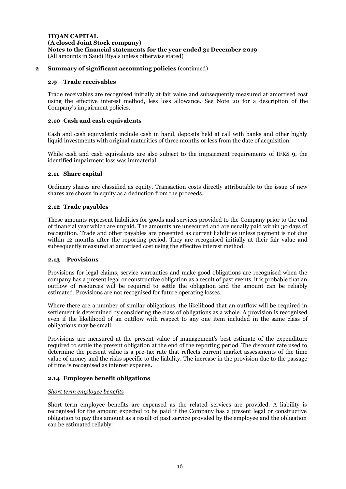## **2 Summary of significant accounting policies** (continued)

### **2.9 Trade receivables**

Trade receivables are recognised initially at fair value and subsequently measured at amortised cost using the effective interest method, less loss allowance. See Note 20 for a description of the Company's impairment policies.

### **2.10 Cash and cash equivalents**

Cash and cash equivalents include cash in hand, deposits held at call with banks and other highly liquid investments with original maturities of three months or less from the date of acquisition.

While cash and cash equivalents are also subject to the impairment requirements of IFRS 9, the identified impairment loss was immaterial.

### **2.11 Share capital**

Ordinary shares are classified as equity. Transaction costs directly attributable to the issue of new shares are shown in equity as a deduction from the proceeds.

### **2.12 Trade payables**

These amounts represent liabilities for goods and services provided to the Company prior to the end of financial year which are unpaid. The amounts are unsecured and are usually paid within 30 days of recognition. Trade and other payables are presented as current liabilities unless payment is not due within 12 months after the reporting period. They are recognised initially at their fair value and subsequently measured at amortised cost using the effective interest method.

### **2.13 Provisions**

Provisions for legal claims, service warranties and make good obligations are recognised when the company has a present legal or constructive obligation as a result of past events, it is probable that an outflow of resources will be required to settle the obligation and the amount can be reliably estimated. Provisions are not recognised for future operating losses.

Where there are a number of similar obligations, the likelihood that an outflow will be required in settlement is determined by considering the class of obligations as a whole. A provision is recognised even if the likelihood of an outflow with respect to any one item included in the same class of obligations may be small.

Provisions are measured at the present value of management's best estimate of the expenditure required to settle the present obligation at the end of the reporting period. The discount rate used to determine the present value is a pre-tax rate that reflects current market assessments of the time value of money and the risks specific to the liability. The increase in the provision due to the passage of time is recognised as interest expense**.**

## **2.14 Employee benefit obligations**

### *Short term employee benefits*

Short term employee benefits are expensed as the related services are provided. A liability is recognised for the amount expected to be paid if the Company has a present legal or constructive obligation to pay this amount as a result of past service provided by the employee and the obligation can be estimated reliably.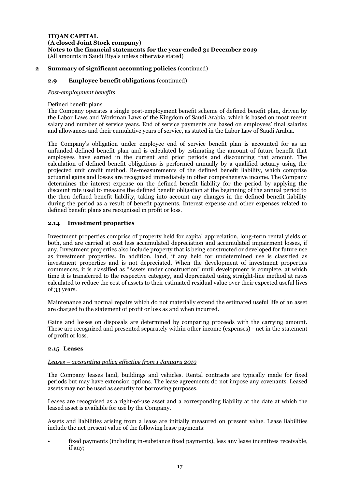## **2 Summary of significant accounting policies** (continued)

## **2.9 Employee benefit obligations** (continued)

### *Post-employment benefits*

### Defined benefit plans

The Company operates a single post-employment benefit scheme of defined benefit plan, driven by the Labor Laws and Workman Laws of the Kingdom of Saudi Arabia, which is based on most recent salary and number of service years. End of service payments are based on employees' final salaries and allowances and their cumulative years of service, as stated in the Labor Law of Saudi Arabia.

The Company's obligation under employee end of service benefit plan is accounted for as an unfunded defined benefit plan and is calculated by estimating the amount of future benefit that employees have earned in the current and prior periods and discounting that amount. The calculation of defined benefit obligations is performed annually by a qualified actuary using the projected unit credit method. Re-measurements of the defined benefit liability, which comprise actuarial gains and losses are recognised immediately in other comprehensive income. The Company determines the interest expense on the defined benefit liability for the period by applying the discount rate used to measure the defined benefit obligation at the beginning of the annual period to the then defined benefit liability, taking into account any changes in the defined benefit liability during the period as a result of benefit payments. Interest expense and other expenses related to defined benefit plans are recognised in profit or loss.

### **2.14 Investment properties**

Investment properties comprise of property held for capital appreciation, long-term rental yields or both, and are carried at cost less accumulated depreciation and accumulated impairment losses, if any. Investment properties also include property that is being constructed or developed for future use as investment properties. In addition, land, if any held for undetermined use is classified as investment properties and is not depreciated. When the development of investment properties commences, it is classified as "Assets under construction" until development is complete, at which time it is transferred to the respective category, and depreciated using straight-line method at rates calculated to reduce the cost of assets to their estimated residual value over their expected useful lives of 33 years.

Maintenance and normal repairs which do not materially extend the estimated useful life of an asset are charged to the statement of profit or loss as and when incurred.

Gains and losses on disposals are determined by comparing proceeds with the carrying amount. These are recognized and presented separately within other income (expenses) - net in the statement of profit or loss.

### **2.15 Leases**

### *Leases – accounting policy effective from 1 January 2019*

The Company leases land, buildings and vehicles. Rental contracts are typically made for fixed periods but may have extension options. The lease agreements do not impose any covenants. Leased assets may not be used as security for borrowing purposes.

Leases are recognised as a right-of-use asset and a corresponding liability at the date at which the leased asset is available for use by the Company.

Assets and liabilities arising from a lease are initially measured on present value. Lease liabilities include the net present value of the following lease payments:

• fixed payments (including in-substance fixed payments), less any lease incentives receivable, if any;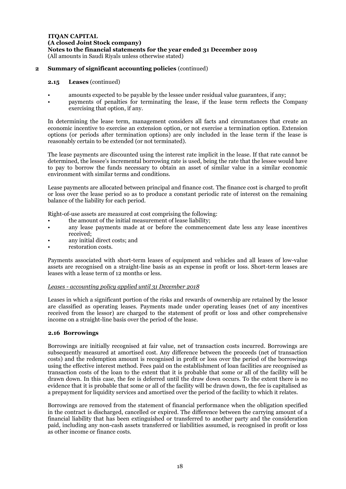## **2 Summary of significant accounting policies** (continued)

### **2.15 Leases** (continued)

- amounts expected to be payable by the lessee under residual value guarantees, if any;
- payments of penalties for terminating the lease, if the lease term reflects the Company exercising that option, if any.

In determining the lease term, management considers all facts and circumstances that create an economic incentive to exercise an extension option, or not exercise a termination option. Extension options (or periods after termination options) are only included in the lease term if the lease is reasonably certain to be extended (or not terminated).

The lease payments are discounted using the interest rate implicit in the lease. If that rate cannot be determined, the lessee's incremental borrowing rate is used, being the rate that the lessee would have to pay to borrow the funds necessary to obtain an asset of similar value in a similar economic environment with similar terms and conditions.

Lease payments are allocated between principal and finance cost. The finance cost is charged to profit or loss over the lease period so as to produce a constant periodic rate of interest on the remaining balance of the liability for each period.

Right-of-use assets are measured at cost comprising the following:

- the amount of the initial measurement of lease liability;
- any lease payments made at or before the commencement date less any lease incentives received;
- any initial direct costs; and
- restoration costs.

Payments associated with short-term leases of equipment and vehicles and all leases of low-value assets are recognised on a straight-line basis as an expense in profit or loss. Short-term leases are leases with a lease term of 12 months or less.

### *Leases - accounting policy applied until 31 December 2018*

Leases in which a significant portion of the risks and rewards of ownership are retained by the lessor are classified as operating leases. Payments made under operating leases (net of any incentives received from the lessor) are charged to the statement of profit or loss and other comprehensive income on a straight-line basis over the period of the lease.

## **2.16 Borrowings**

Borrowings are initially recognised at fair value, net of transaction costs incurred. Borrowings are subsequently measured at amortised cost. Any difference between the proceeds (net of transaction costs) and the redemption amount is recognised in profit or loss over the period of the borrowings using the effective interest method. Fees paid on the establishment of loan facilities are recognised as transaction costs of the loan to the extent that it is probable that some or all of the facility will be drawn down. In this case, the fee is deferred until the draw down occurs. To the extent there is no evidence that it is probable that some or all of the facility will be drawn down, the fee is capitalised as a prepayment for liquidity services and amortised over the period of the facility to which it relates.

Borrowings are removed from the statement of financial performance when the obligation specified in the contract is discharged, cancelled or expired. The difference between the carrying amount of a financial liability that has been extinguished or transferred to another party and the consideration paid, including any non-cash assets transferred or liabilities assumed, is recognised in profit or loss as other income or finance costs.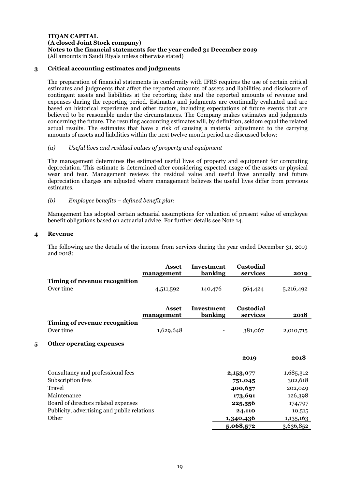## **3 Critical accounting estimates and judgments**

The preparation of financial statements in conformity with IFRS requires the use of certain critical estimates and judgments that affect the reported amounts of assets and liabilities and disclosure of contingent assets and liabilities at the reporting date and the reported amounts of revenue and expenses during the reporting period. Estimates and judgments are continually evaluated and are based on historical experience and other factors, including expectations of future events that are believed to be reasonable under the circumstances. The Company makes estimates and judgments concerning the future. The resulting accounting estimates will, by definition, seldom equal the related actual results. The estimates that have a risk of causing a material adjustment to the carrying amounts of assets and liabilities within the next twelve month period are discussed below:

## *(a) Useful lives and residual values of property and equipment*

The management determines the estimated useful lives of property and equipment for computing depreciation. This estimate is determined after considering expected usage of the assets or physical wear and tear. Management reviews the residual value and useful lives annually and future depreciation charges are adjusted where management believes the useful lives differ from previous estimates.

## *(b) Employee benefits – defined benefit plan*

Management has adopted certain actuarial assumptions for valuation of present value of employee benefit obligations based on actuarial advice. For further details see Note 14.

## **4 Revenue**

The following are the details of the income from services during the year ended December 31, 2019 and 2018:

|   |                                             | <b>Asset</b><br>management | <b>Investment</b><br>banking | <b>Custodial</b><br>services | 2019      |
|---|---------------------------------------------|----------------------------|------------------------------|------------------------------|-----------|
|   | Timing of revenue recognition               |                            |                              |                              |           |
|   | Over time                                   | 4,511,592                  | 140,476                      | 564,424                      | 5,216,492 |
|   |                                             |                            |                              |                              |           |
|   |                                             | <b>Asset</b>               | <b>Investment</b>            | <b>Custodial</b>             |           |
|   |                                             | management                 | banking                      | services                     | 2018      |
|   | Timing of revenue recognition               |                            |                              |                              |           |
|   | Over time                                   | 1,629,648                  |                              | 381,067                      | 2,010,715 |
| 5 | Other operating expenses                    |                            |                              |                              |           |
|   |                                             |                            |                              | 2019                         | 2018      |
|   | Consultancy and professional fees           |                            |                              | 2,153,077                    | 1,685,312 |
|   | Subscription fees                           |                            |                              | 751,045                      | 302,618   |
|   | Travel                                      |                            |                              | 400,657                      | 202,049   |
|   | Maintenance                                 |                            |                              | 173,691                      | 126,398   |
|   | Board of directors related expenses         |                            |                              | 225,556                      | 174,797   |
|   | Publicity, advertising and public relations |                            |                              | 24,110                       | 10,515    |
|   | Other                                       |                            |                              | 1,340,436                    | 1,135,163 |
|   |                                             |                            |                              | 5,068,572                    | 3,636,852 |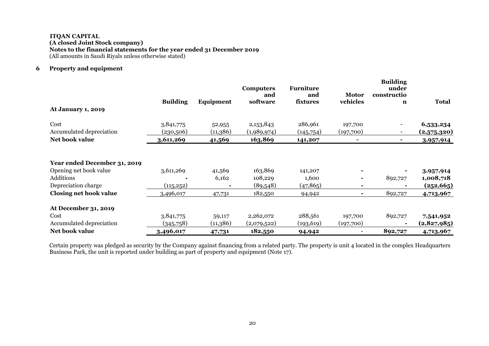## **6 Property and equipment**

|                               | <b>Building</b> | Equipment | <b>Computers</b><br>and<br>software | <b>Furniture</b><br>and<br>fixtures | Motor<br>vehicles | <b>Building</b><br>under<br>constructio<br>$\mathbf n$ | <b>Total</b> |
|-------------------------------|-----------------|-----------|-------------------------------------|-------------------------------------|-------------------|--------------------------------------------------------|--------------|
| <b>At January 1, 2019</b>     |                 |           |                                     |                                     |                   |                                                        |              |
| Cost                          | 3,841,775       | 52,955    | 2,153,843                           | 286,961                             | 197,700           |                                                        | 6,533,234    |
| Accumulated depreciation      | (230,506)       | (11,386)  | (1,989,974)                         | (145,754)                           | (197,700)         |                                                        | (2,575,320)  |
| <b>Net book value</b>         | 3,611,269       | 41,569    | 163,869                             | 141,207                             | ۰                 |                                                        | 3,957,914    |
| Year ended December 31, 2019  |                 |           |                                     |                                     |                   |                                                        |              |
| Opening net book value        | 3,611,269       | 41,569    | 163,869                             | 141,207                             |                   |                                                        | 3,957,914    |
| Additions                     |                 | 6,162     | 108,229                             | 1,600                               |                   | 892,727                                                | 1,008,718    |
| Depreciation charge           | (115, 252)      |           | (89,548)                            | (47, 865)                           |                   |                                                        | (252, 665)   |
| <b>Closing net book value</b> | 3,496,017       | 47,731    | 182,550                             | 94,942                              | $\blacksquare$    | 892,727                                                | 4,713,967    |
| At December 31, 2019          |                 |           |                                     |                                     |                   |                                                        |              |
| Cost                          | 3,841,775       | 59,117    | 2,262,072                           | 288,561                             | 197,700           | 892,727                                                | 7,541,952    |
| Accumulated depreciation      | (345,758)       | (11,386)  | (2,079,522)                         | (193, 619)                          | (197,700)         |                                                        | (2,827,985)  |
| <b>Net book value</b>         | 3,496,017       | 47,731    | 182,550                             | 94,942                              |                   | 892,727                                                | 4,713,967    |

Certain property was pledged as security by the Company against financing from a related party. The property is unit 4 located in the complex Headquarters Business Park, the unit is reported under building as part of property and equipment (Note 17).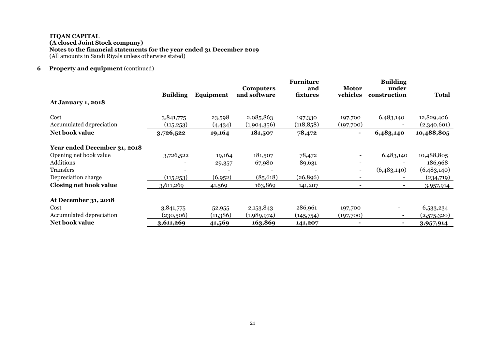## **6 Property and equipment** (continued)

|                               | <b>Building</b> | Equipment | <b>Computers</b><br>and software | <b>Furniture</b><br>and<br>fixtures | Motor<br>vehicles | <b>Building</b><br>under<br>construction | <b>Total</b> |
|-------------------------------|-----------------|-----------|----------------------------------|-------------------------------------|-------------------|------------------------------------------|--------------|
| <b>At January 1, 2018</b>     |                 |           |                                  |                                     |                   |                                          |              |
| Cost                          | 3,841,775       | 23,598    | 2,085,863                        | 197,330                             | 197,700           | 6,483,140                                | 12,829,406   |
| Accumulated depreciation      | (115, 253)      | (4, 434)  | (1,904,356)                      | (118, 858)                          | (197,700)         |                                          | (2,340,601)  |
| <b>Net book value</b>         | 3,726,522       | 19,164    | 181,507                          | 78,472                              | ۰                 | 6,483,140                                | 10,488,805   |
| Year ended December 31, 2018  |                 |           |                                  |                                     |                   |                                          |              |
| Opening net book value        | 3,726,522       | 19,164    | 181,507                          | 78,472                              |                   | 6,483,140                                | 10,488,805   |
| Additions                     |                 | 29,357    | 67,980                           | 89,631                              |                   |                                          | 186,968      |
| <b>Transfers</b>              |                 |           |                                  |                                     | $\blacksquare$    | (6,483,140)                              | (6,483,140)  |
| Depreciation charge           | (115, 253)      | (6,952)   | (85, 618)                        | (26, 896)                           |                   |                                          | (234,719)    |
| <b>Closing net book value</b> | 3,611,269       | 41,569    | 163,869                          | 141,207                             |                   |                                          | 3,957,914    |
| At December 31, 2018          |                 |           |                                  |                                     |                   |                                          |              |
| Cost                          | 3,841,775       | 52,955    | 2,153,843                        | 286,961                             | 197,700           |                                          | 6,533,234    |
| Accumulated depreciation      | (230,506)       | (11,386)  | (1,989,974)                      | (145,754)                           | (197,700)         | $\overline{\phantom{a}}$                 | (2,575,320)  |
| Net book value                | 3,611,269       | 41,569    | 163,869                          | 141,207                             |                   |                                          | 3,957,914    |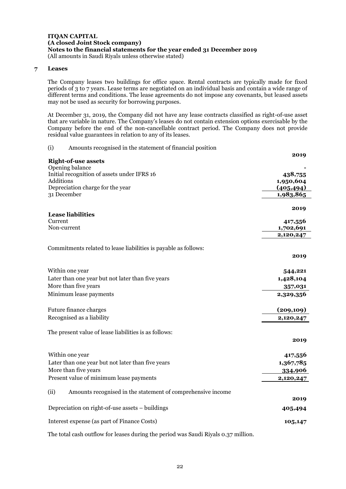### **7 Leases**

The Company leases two buildings for office space. Rental contracts are typically made for fixed periods of 3 to 7 years. Lease terms are negotiated on an individual basis and contain a wide range of different terms and conditions. The lease agreements do not impose any covenants, but leased assets may not be used as security for borrowing purposes.

At December 31, 2019, the Company did not have any lease contracts classified as right-of-use asset that are variable in nature. The Company's leases do not contain extension options exercisable by the Company before the end of the non-cancellable contract period. The Company does not provide residual value guarantees in relation to any of its leases.

**2019**

### (i) Amounts recognised in the statement of financial position

|                                                                     | 40 IY                |
|---------------------------------------------------------------------|----------------------|
| <b>Right-of-use assets</b>                                          |                      |
| Opening balance<br>Initial recognition of assets under IFRS 16      |                      |
| Additions                                                           | 438,755<br>1,950,604 |
| Depreciation charge for the year                                    | (405, 494)           |
| 31 December                                                         | 1,983,865            |
|                                                                     |                      |
|                                                                     | 2019                 |
| <b>Lease liabilities</b>                                            |                      |
| Current                                                             | 417,556              |
| Non-current                                                         | 1,702,691            |
|                                                                     | 2,120,247            |
|                                                                     |                      |
| Commitments related to lease liabilities is payable as follows:     |                      |
|                                                                     | 2019                 |
|                                                                     |                      |
| Within one year                                                     | 544,221              |
| Later than one year but not later than five years                   | 1,428,104            |
| More than five years                                                | 357,031              |
| Minimum lease payments                                              | 2,329,356            |
|                                                                     |                      |
| Future finance charges                                              | (209, 109)           |
| Recognised as a liability                                           | 2,120,247            |
|                                                                     |                      |
| The present value of lease liabilities is as follows:               |                      |
|                                                                     | 2019                 |
|                                                                     |                      |
| Within one year                                                     | 417,556              |
| Later than one year but not later than five years                   | 1,367,785            |
| More than five years                                                | 334,906              |
| Present value of minimum lease payments                             | 2,120,247            |
|                                                                     |                      |
| (ii)<br>Amounts recognised in the statement of comprehensive income |                      |
|                                                                     | 2019                 |
| Depreciation on right-of-use assets – buildings                     | 405,494              |
|                                                                     |                      |
| Interest expense (as part of Finance Costs)                         | 105,147              |
|                                                                     |                      |
|                                                                     |                      |

The total cash outflow for leases during the period was Saudi Riyals 0.37 million.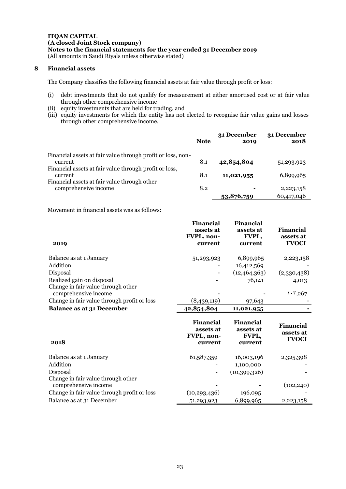### **8 Financial assets**

The Company classifies the following financial assets at fair value through profit or loss:

- (i) debt investments that do not qualify for measurement at either amortised cost or at fair value through other comprehensive income
- (ii) equity investments that are held for trading, and
- (iii) equity investments for which the entity has not elected to recognise fair value gains and losses through other comprehensive income.

|                                                                        | <b>Note</b> | 31 December<br>2019 | 31 December<br>2018 |
|------------------------------------------------------------------------|-------------|---------------------|---------------------|
| Financial assets at fair value through profit or loss, non-<br>current | 8.1         | 42,854,804          | 51,293,923          |
|                                                                        |             |                     |                     |
| Financial assets at fair value through profit or loss,<br>current      | 8.1         | 11,021,955          | 6,899,965           |
| Financial assets at fair value through other                           |             |                     |                     |
| comprehensive income                                                   | 8.2         |                     | 2,223,158           |
|                                                                        |             | 53,876,759          | 60,417,046          |

Movement in financial assets was as follows:

| 2019                                                       | Financial<br>assets at<br><b>FVPL, non-</b><br>current | <b>Financial</b><br>assets at<br><b>FVPL,</b><br>current | <b>Financial</b><br>assets at<br><b>FVOCI</b> |
|------------------------------------------------------------|--------------------------------------------------------|----------------------------------------------------------|-----------------------------------------------|
|                                                            |                                                        |                                                          |                                               |
| Balance as at 1 January                                    | 51,293,923                                             | 6,899,965                                                | 2,223,158                                     |
| Addition                                                   |                                                        | 16,412,569                                               |                                               |
| Disposal                                                   |                                                        | (12,464,363)                                             | (2,330,438)                                   |
| Realized gain on disposal                                  |                                                        | 76,141                                                   | 4,013                                         |
| Change in fair value through other<br>comprehensive income |                                                        |                                                          | 1.5,267                                       |
| Change in fair value through profit or loss                | (8,439,119)                                            | 97,643                                                   |                                               |
| <b>Balance as at 31 December</b>                           | 42,854,804                                             | 11,021,955                                               |                                               |
| 2018                                                       | <b>Financial</b><br>assets at<br>FVPL, non-<br>current | <b>Financial</b><br>assets at<br>FVPL,<br>current        | <b>Financial</b><br>assets at<br><b>FVOCI</b> |
| Balance as at 1 January                                    | 61,587,359                                             | 16,003,196                                               | 2,325,398                                     |
| Addition                                                   |                                                        | 1,100,000                                                |                                               |
| Disposal                                                   |                                                        | (10,399,326)                                             |                                               |
| Change in fair value through other<br>comprehensive income |                                                        |                                                          | (102, 240)                                    |
| Change in fair value through profit or loss                | (10,293,436)                                           | 196,095                                                  |                                               |

Balance as at 31 December 6,899,923 6,899,965 2,223,158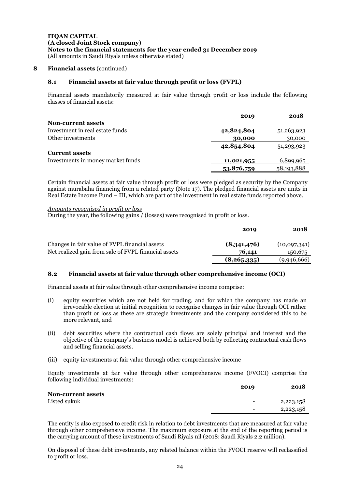### **8 Financial assets** (continued)

### **8.1 Financial assets at fair value through profit or loss (FVPL)**

Financial assets mandatorily measured at fair value through profit or loss include the following classes of financial assets:

|                                   | 2019       | 2018       |
|-----------------------------------|------------|------------|
| <b>Non-current assets</b>         |            |            |
| Investment in real estate funds   | 42,824,804 | 51,263,923 |
| Other investments                 | 30,000     | 30,000     |
|                                   | 42,854,804 | 51,293,923 |
| <b>Current assets</b>             |            |            |
| Investments in money market funds | 11,021,955 | 6,899,965  |
|                                   | 53,876,759 | 58,193,888 |

Certain financial assets at fair value through profit or loss were pledged as security by the Company against murabaha financing from a related party (Note 17). The pledged financial assets are units in Real Estate Income Fund – III, which are part of the investment in real estate funds reported above.

*Amounts recognised in profit or loss*

During the year, the following gains / (losses) were recognised in profit or loss.

|                                                                                                        | 2019                  | 2018                    |
|--------------------------------------------------------------------------------------------------------|-----------------------|-------------------------|
| Changes in fair value of FVPL financial assets<br>Net realized gain from sale of FVPL financial assets | (8,341,476)<br>76.141 | (10,097,341)<br>150,675 |
|                                                                                                        | (8, 265, 335)         | (9,946,666)             |

### **8.2 Financial assets at fair value through other comprehensive income (OCI)**

Financial assets at fair value through other comprehensive income comprise:

- (i) equity securities which are not held for trading, and for which the company has made an irrevocable election at initial recognition to recognise changes in fair value through OCI rather than profit or loss as these are strategic investments and the company considered this to be more relevant, and
- (ii) debt securities where the contractual cash flows are solely principal and interest and the objective of the company's business model is achieved both by collecting contractual cash flows and selling financial assets.
- (iii) equity investments at fair value through other comprehensive income

Equity investments at fair value through other comprehensive income (FVOCI) comprise the following individual investments:

|                           | 2019                     | 2018      |
|---------------------------|--------------------------|-----------|
| <b>Non-current assets</b> |                          |           |
| Listed sukuk              | $\blacksquare$           | 2,223,158 |
|                           | $\overline{\phantom{0}}$ | 2,223,158 |

The entity is also exposed to credit risk in relation to debt investments that are measured at fair value through other comprehensive income. The maximum exposure at the end of the reporting period is the carrying amount of these investments of Saudi Riyals nil (2018: Saudi Riyals 2.2 million).

On disposal of these debt investments, any related balance within the FVOCI reserve will reclassified to profit or loss.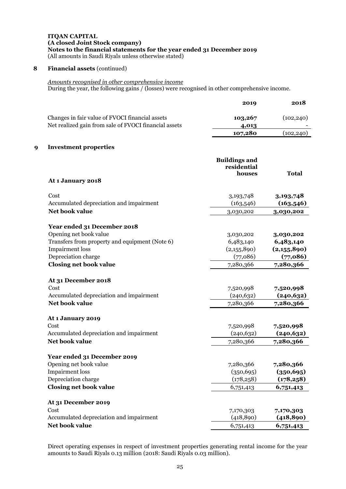## **8 Financial assets** (continued)

## *Amounts recognised in other comprehensive income*

During the year, the following gains / (losses) were recognised in other comprehensive income.

|                                                                                                          | 2019             | 2018       |
|----------------------------------------------------------------------------------------------------------|------------------|------------|
| Changes in fair value of FVOCI financial assets<br>Net realized gain from sale of FVOCI financial assets | 103,267<br>4,013 | (102, 240) |
|                                                                                                          | 107,280          | (102, 240) |

### **9 Investment properties**

|                                                | <b>Buildings and</b><br>residential<br>houses | <b>Total</b> |
|------------------------------------------------|-----------------------------------------------|--------------|
| At 1 January 2018                              |                                               |              |
| Cost                                           | 3,193,748                                     | 3,193,748    |
| Accumulated depreciation and impairment        | (163,546)                                     | (163, 546)   |
| Net book value                                 | 3,030,202                                     | 3,030,202    |
| Year ended 31 December 2018                    |                                               |              |
| Opening net book value                         | 3,030,202                                     | 3,030,202    |
| Transfers from property and equipment (Note 6) | 6,483,140                                     | 6,483,140    |
| <b>Impairment</b> loss                         | (2,155,890)                                   | (2,155,890)  |
| Depreciation charge                            | (77,086)                                      | (77,086)     |
| <b>Closing net book value</b>                  | 7,280,366                                     | 7,280,366    |
| At 31 December 2018                            |                                               |              |
| Cost                                           | 7,520,998                                     | 7,520,998    |
| Accumulated depreciation and impairment        | (240, 632)                                    | (240, 632)   |
| <b>Net book value</b>                          | 7,280,366                                     | 7,280,366    |
| At 1 January 2019                              |                                               |              |
| Cost                                           | 7,520,998                                     | 7,520,998    |
| Accumulated depreciation and impairment        | (240, 632)                                    | (240, 632)   |
| <b>Net book value</b>                          | 7,280,366                                     | 7,280,366    |
| Year ended 31 December 2019                    |                                               |              |
| Opening net book value                         | 7,280,366                                     | 7,280,366    |
| <b>Impairment</b> loss                         | (350, 695)                                    | (350, 695)   |
| Depreciation charge                            | (178, 258)                                    | (178, 258)   |
| <b>Closing net book value</b>                  | 6,751,413                                     | 6,751,413    |
|                                                |                                               |              |
| At 31 December 2019                            |                                               |              |
| Cost                                           | 7,170,303                                     | 7,170,303    |
| Accumulated depreciation and impairment        | (418, 890)                                    | (418, 890)   |
| <b>Net book value</b>                          | 6,751,413                                     | 6,751,413    |

Direct operating expenses in respect of investment properties generating rental income for the year amounts to Saudi Riyals 0.13 million (2018: Saudi Riyals 0.03 million).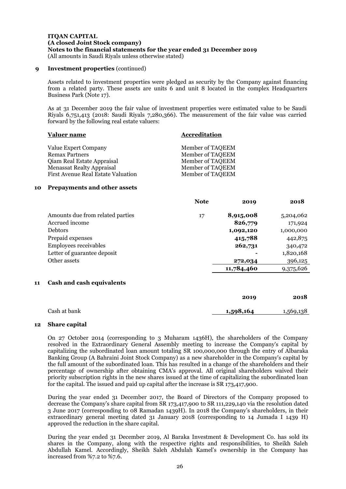### **9 Investment properties** (continued)

Assets related to investment properties were pledged as security by the Company against financing from a related party. These assets are units 6 and unit 8 located in the complex Headquarters Business Park (Note 17).

As at 31 December 2019 the fair value of investment properties were estimated value to be Saudi Riyals 6,751,413 (2018: Saudi Riyals 7,280,366). The measurement of the fair value was carried forward by the following real estate valuers:

### **Valuer name** Accreditation

| Value Expert Company                      | Member of TAQEEM |
|-------------------------------------------|------------------|
| Remax Partners                            | Member of TAQEEM |
| Qiam Real Estate Appraisal                | Member of TAQEEM |
| <b>Menassat Realty Appraisal</b>          | Member of TAQEEM |
| <b>First Avenue Real Estate Valuation</b> | Member of TAQEEM |
|                                           |                  |

### **10 Prepayments and other assets**

|                                  | <b>Note</b> | 2019       | 2018      |
|----------------------------------|-------------|------------|-----------|
| Amounts due from related parties | 17          | 8,915,008  | 5,204,062 |
| Accrued income                   |             | 826,779    | 171,924   |
| <b>Debtors</b>                   |             | 1,092,120  | 1,000,000 |
| Prepaid expenses                 |             | 415,788    | 442,875   |
| <b>Employees receivables</b>     |             | 262,731    | 340,472   |
| Letter of guarantee deposit      |             |            | 1,820,168 |
| Other assets                     |             | 272,034    | 396,125   |
|                                  |             | 11,784,460 | 9,375,626 |
|                                  |             |            |           |

### **11 Cash and cash equivalents**

|              | 2019      | 2018      |
|--------------|-----------|-----------|
| Cash at bank | 1,598,164 | 1,569,138 |

### **12 Share capital**

On 27 October 2014 (corresponding to 3 Muharam 1436H), the shareholders of the Company resolved in the Extraordinary General Assembly meeting to increase the Company's capital by capitalizing the subordinated loan amount totaling SR 100,000,000 through the entry of Albaraka Banking Group (A Bahraini Joint Stock Company) as a new shareholder in the Company's capital by the full amount of the subordinated loan. This has resulted in a change of the shareholders and their percentage of ownership after obtaining CMA's approval. All original shareholders waived their priority subscription rights in the new shares issued at the time of capitalizing the subordinated loan for the capital. The issued and paid up capital after the increase is SR 173,417,900.

During the year ended 31 December 2017, the Board of Directors of the Company proposed to decrease the Company's share capital from SR 173,417,900 to SR 111,229,140 via the resolution dated 3 June 2017 (corresponding to 08 Ramadan 1439H). In 2018 the Company's shareholders, in their extraordinary general meeting dated 31 January 2018 (corresponding to 14 Jumada I 1439 H) approved the reduction in the share capital.

During the year ended 31 December 2019, Al Baraka Investment & Development Co. has sold its shares in the Company, along with the respective rights and responsibilities, to Sheikh Saleh Abdullah Kamel. Accordingly, Sheikh Saleh Abdulah Kamel's ownership in the Company has increased from %7.2 to %7.6.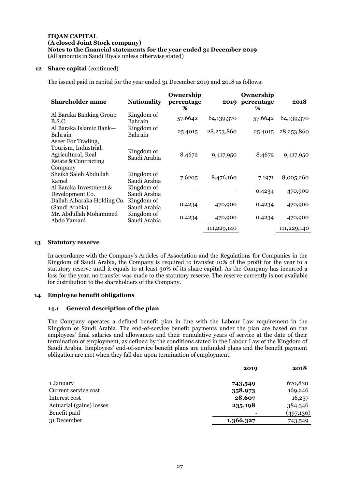### **12 Share capital** (continued)

The issued paid in capital for the year ended 31 December 2019 and 2018 as follows:

| <b>Shareholder name</b>                                                                             | <b>Nationality</b>         | Ownership<br>percentage<br>% |              | Ownership<br>2019 percentage<br>% | 2018         |
|-----------------------------------------------------------------------------------------------------|----------------------------|------------------------------|--------------|-----------------------------------|--------------|
| Al Baraka Banking Group<br>B.S.C.                                                                   | Kingdom of<br>Bahrain      | 57.6642                      | 64,139,370   | 57.6642                           | 64,139,370   |
| Al Baraka Islamic Bank—<br>Bahrain                                                                  | Kingdom of<br>Bahrain      | 25.4015                      | 28, 253, 860 | 25.4015                           | 28, 253, 860 |
| Aseer For Trading,<br>Tourism, Industrial,<br>Agricultural, Real<br>Estate & Contracting<br>Company | Kingdom of<br>Saudi Arabia | 8.4672                       | 9,417,950    | 8.4672                            | 9,417,950    |
| Sheikh Saleh Abdullah<br>Kamel                                                                      | Kingdom of<br>Saudi Arabia | 7.6205                       | 8,476,160    | 7.1971                            | 8,005,260    |
| Al Baraka Investment &<br>Development Co.                                                           | Kingdom of<br>Saudi Arabia |                              |              | 0.4234                            | 470,900      |
| Dallah Albaraka Holding Co.<br>(Saudi Arabia)                                                       | Kingdom of<br>Saudi Arabia | 0.4234                       | 470,900      | 0.4234                            | 470,900      |
| Mr. Abdullah Mohammed<br>Abdo Yamani                                                                | Kingdom of<br>Saudi Arabia | 0.4234                       | 470,900      | 0.4234                            | 470,900      |
|                                                                                                     |                            |                              | 111,229,140  |                                   | 111,229,140  |

### **13 Statutory reserve**

In accordance with the Company's Articles of Association and the Regulations for Companies in the Kingdom of Saudi Arabia, the Company is required to transfer 10% of the profit for the year to a statutory reserve until it equals to at least 30% of its share capital. As the Company has incurred a loss for the year, no transfer was made to the statutory reserve. The reserve currently is not available for distribution to the shareholders of the Company.

### **14 Employee benefit obligations**

### **14.1 General description of the plan**

The Company operates a defined benefit plan in line with the Labour Law requirement in the Kingdom of Saudi Arabia. The end-of-service benefit payments under the plan are based on the employees' final salaries and allowances and their cumulative years of service at the date of their termination of employment, as defined by the conditions stated in the Labour Law of the Kingdom of Saudi Arabia. Employees' end-of-service benefit plans are unfunded plans and the benefit payment obligation are met when they fall due upon termination of employment.

|                          | 2019      | 2018       |
|--------------------------|-----------|------------|
| 1 January                | 743,549   | 670,830    |
| Current service cost     | 358,973   | 169,246    |
| Interest cost            | 28,607    | 16,257     |
| Actuarial (gains) losses | 235,198   | 384,346    |
| Benefit paid             |           | (497, 130) |
| 31 December              | 1,366,327 | 743,549    |
|                          |           |            |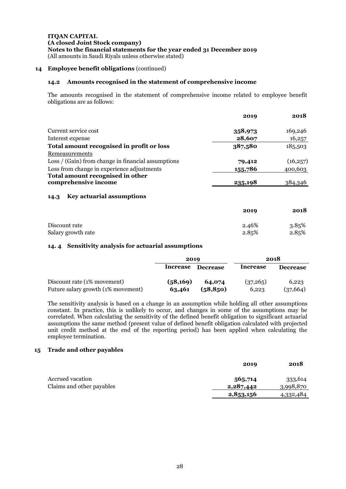### **14 Employee benefit obligations** (continued)

### **14.2 Amounts recognised in the statement of comprehensive income**

The amounts recognised in the statement of comprehensive income related to employee benefit obligations are as follows:

|                                                          | 2019    | 2018      |
|----------------------------------------------------------|---------|-----------|
| Current service cost                                     | 358,973 | 169,246   |
| Interest expense                                         | 28,607  | 16,257    |
| Total amount recognised in profit or loss                | 387,580 | 185,503   |
| Remeasurements                                           |         |           |
| Loss / (Gain) from change in financial assumptions       | 79,412  | (16, 257) |
| Loss from change in experience adjustments               | 155,786 | 400,603   |
| Total amount recognised in other<br>comprehensive income | 235,198 | 384,346   |
| <b>Key actuarial assumptions</b><br>14.3                 |         |           |

# **2019 2018** Discount rate 2.46% 3.85% Salary growth rate 2.85% 2.85% 2.85%

### **14. 4 Sensitivity analysis for actuarial assumptions**

|                                    | 2019     |                 | 2018     |                 |
|------------------------------------|----------|-----------------|----------|-----------------|
|                                    | Increase | <b>Decrease</b> | Increase | <b>Decrease</b> |
| Discount rate (1% movement)        | (58,169) | 64,074          | (37,265) | 6,223           |
| Future salary growth (1% movement) | 63,461   | (58, 850)       | 6,223    | (37, 664)       |

The sensitivity analysis is based on a change in an assumption while holding all other assumptions constant. In practice, this is unlikely to occur, and changes in some of the assumptions may be correlated. When calculating the sensitivity of the defined benefit obligation to significant actuarial assumptions the same method (present value of defined benefit obligation calculated with projected unit credit method at the end of the reporting period) has been applied when calculating the employee termination.

### **15 Trade and other payables**

|                                               | 2019                 | 2018                 |
|-----------------------------------------------|----------------------|----------------------|
| Accrued vacation<br>Claims and other payables | 565,714<br>2,287,442 | 333,614<br>3,998,870 |
|                                               | 2,853,156            | 4,332,484            |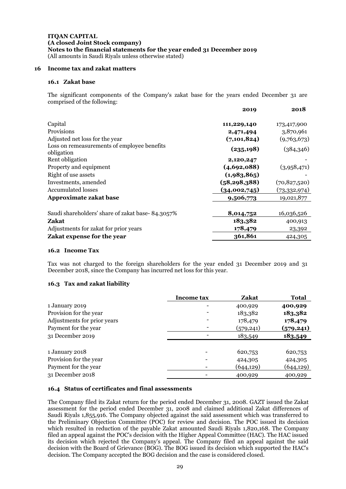### **16 Income tax and zakat matters**

### **16.1 Zakat base**

The significant components of the Company's zakat base for the years ended December 31 are comprised of the following:

|                                                           | 2019           | 2018           |
|-----------------------------------------------------------|----------------|----------------|
| Capital                                                   | 111,229,140    | 173,417,900    |
| Provisions                                                | 2,471,494      | 3,870,961      |
| Adjusted net loss for the year                            | (7,101,824)    | (9,763,673)    |
| Loss on remeasurements of employee benefits<br>obligation | (235, 198)     | (384,346)      |
| Rent obligation                                           | 2,120,247      |                |
| Property and equipment                                    | (4,692,088)    | (3,958,471)    |
| Right of use assets                                       | (1,983,865)    |                |
| Investments, amended                                      | (58, 298, 388) | (70, 827, 520) |
| <b>Accumulated losses</b>                                 | (34,002,745)   | (73,332,974)   |
| <b>Approximate zakat base</b>                             | 9,506,773      | 19,021,877     |
| Saudi shareholders' share of zakat base-84.3057%          | 8,014,752      | 16,036,526     |
| Zakat                                                     | 183,382        | 400,913        |
| Adjustments for zakat for prior years                     | 178,479        | 23,392         |
| Zakat expense for the year                                | 361,861        | 424,305        |

### **16.2 Income Tax**

Tax was not charged to the foreign shareholders for the year ended 31 December 2019 and 31 December 2018, since the Company has incurred net loss for this year.

### **16.3 Tax and zakat liability**

|                             | Income tax | Zakat      | Total      |
|-----------------------------|------------|------------|------------|
| 1 January 2019              |            | 400,929    | 400,929    |
| Provision for the year      |            | 183,382    | 183,382    |
| Adjustments for prior years |            | 178,479    | 178,479    |
| Payment for the year        |            | (579, 241) | (579,241)  |
| 31 December 2019            |            | 183,549    | 183,549    |
|                             |            |            |            |
| 1 January 2018              |            | 620,753    | 620,753    |
| Provision for the year      |            | 424,305    | 424,305    |
| Payment for the year        |            | (644, 129) | (644, 129) |
| 31 December 2018            |            | 400,929    | 400,929    |

### **16.4 Status of certificates and final assessments**

The Company filed its Zakat return for the period ended December 31, 2008. GAZT issued the Zakat assessment for the period ended December 31, 2008 and claimed additional Zakat differences of Saudi Riyals 1,855,916. The Company objected against the said assessment which was transferred to the Preliminary Objection Committee (POC) for review and decision. The POC issued its decision which resulted in reduction of the payable Zakat amounted Saudi Riyals 1,820,168. The Company filed an appeal against the POC's decision with the Higher Appeal Committee (HAC). The HAC issued its decision which rejected the Company's appeal. The Company filed an appeal against the said decision with the Board of Grievance (BOG). The BOG issued its decision which supported the HAC's decision. The Company accepted the BOG decision and the case is considered closed.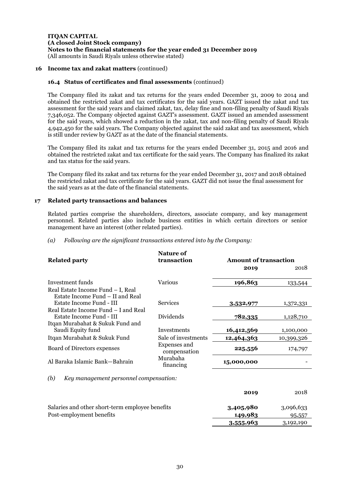## **16 Income tax and zakat matters** (continued)

### **16.4 Status of certificates and final assessments** (continued)

The Company filed its zakat and tax returns for the years ended December 31, 2009 to 2014 and obtained the restricted zakat and tax certificates for the said years. GAZT issued the zakat and tax assessment for the said years and claimed zakat, tax, delay fine and non-filing penalty of Saudi Riyals 7,346,052. The Company objected against GAZT's assessment. GAZT issued an amended assessment for the said years, which showed a reduction in the zakat, tax and non-filing penalty of Saudi Riyals 4,942,450 for the said years. The Company objected against the said zakat and tax assessment, which is still under review by GAZT as at the date of the financial statements.

The Company filed its zakat and tax returns for the years ended December 31, 2015 and 2016 and obtained the restricted zakat and tax certificate for the said years. The Company has finalized its zakat and tax status for the said years.

The Company filed its zakat and tax returns for the year ended December 31, 2017 and 2018 obtained the restricted zakat and tax certificate for the said years. GAZT did not issue the final assessment for the said years as at the date of the financial statements.

### **17 Related party transactions and balances**

Related parties comprise the shareholders, directors, associate company, and key management personnel. Related parties also include business entities in which certain directors or senior management have an interest (other related parties).

| (a) |  |  | Following are the significant transactions entered into by the Company: |
|-----|--|--|-------------------------------------------------------------------------|
|     |  |  |                                                                         |

| <b>Related party</b>                                                  | <b>Nature of</b><br>transaction | <b>Amount of transaction</b> |            |
|-----------------------------------------------------------------------|---------------------------------|------------------------------|------------|
|                                                                       |                                 | 2019                         | 2018       |
| Investment funds                                                      | <b>Various</b>                  | 196,863                      | 133,544    |
| Real Estate Income Fund - I, Real<br>Estate Income Fund - II and Real |                                 |                              |            |
| Estate Income Fund - III                                              | <b>Services</b>                 | 3,532,977                    | 1,372,331  |
| Real Estate Income Fund – I and Real                                  |                                 |                              |            |
| Estate Income Fund - III                                              | Dividends                       | 782,335                      | 1,128,710  |
| Itgan Murabahat & Sukuk Fund and                                      |                                 |                              |            |
| Saudi Equity fund                                                     | Investments                     | 16,412,569                   | 1,100,000  |
| Itqan Murabahat & Sukuk Fund                                          | Sale of investments             | 12,464,363                   | 10,399,326 |
| Board of Directors expenses                                           | Expenses and<br>compensation    | 225,556                      | 174,797    |
| Al Baraka Islamic Bank-Bahrain                                        | Murabaha<br>financing           | 15,000,000                   |            |
| (b)<br>Key management personnel compensation:                         |                                 |                              |            |
|                                                                       |                                 | 2019                         | 2018       |
| Salaries and other short-term employee benefits                       |                                 | 3,405,980                    | 3,096,633  |

Post-employment benefits **149,983** 95,557

**3,555,963** 3,192,190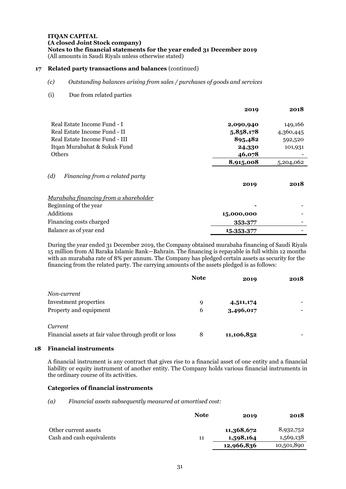### **17 Related party transactions and balances** (continued)

- *(c) Outstanding balances arising from sales / purchases of goods and services*
- (i) Due from related parties

|                                       | 2019       | 2018      |
|---------------------------------------|------------|-----------|
| Real Estate Income Fund - I           | 2,090,940  | 149,166   |
| Real Estate Income Fund - II          | 5,858,178  | 4,360,445 |
| Real Estate Income Fund - III         | 895,482    | 592,520   |
| Itqan Murabahat & Sukuk Fund          | 24,330     | 101,931   |
| <b>Others</b>                         | 46,078     |           |
|                                       | 8,915,008  | 5,204,062 |
| (d)<br>Financing from a related party | 2019       | 2018      |
| Murabaha financing from a shareholder |            |           |
| Beginning of the year                 |            |           |
| Additions                             | 15,000,000 |           |
| Financing costs charged               | 353,377    |           |
| Balance as of year end                | 15,353,377 |           |

During the year ended 31 December 2019, the Company obtained murabaha financing of Saudi Riyals 15 million from Al Baraka Islamic Bank—Bahrain. The financing is repayable in full within 12 months with an murabaha rate of 8% per annum. The Company has pledged certain assets as security for the financing from the related party. The carrying amounts of the assets pledged is as follows:

|                                                       | <b>Note</b> | 2019       | 2018 |
|-------------------------------------------------------|-------------|------------|------|
| Non-current                                           |             |            |      |
| Investment properties                                 | 9           | 4,511,174  |      |
| Property and equipment                                | 6           | 3,496,017  |      |
| Current                                               |             |            |      |
| Financial assets at fair value through profit or loss | 8           | 11,106,852 |      |

### **18 Financial instruments**

A financial instrument is any contract that gives rise to a financial asset of one entity and a financial liability or equity instrument of another entity. The Company holds various financial instruments in the ordinary course of its activities.

### **Categories of financial instruments**

*(a) Financial assets subsequently measured at amortised cost:*

|                           | <b>Note</b> | 2019       | 2018       |
|---------------------------|-------------|------------|------------|
| Other current assets      |             | 11,368,672 | 8,932,752  |
| Cash and cash equivalents | 11          | 1,598,164  | 1,569,138  |
|                           |             | 12,966,836 | 10,501,890 |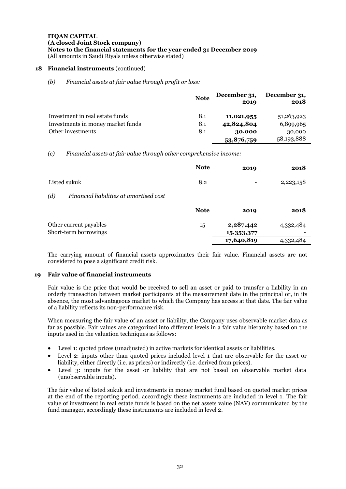### **18 Financial instruments** (continued)

### *(b) Financial assets at fair value through profit or loss:*

|                                   | <b>Note</b> | December 31,<br>2019 | December 31,<br>2018 |
|-----------------------------------|-------------|----------------------|----------------------|
| Investment in real estate funds   | 8.1         | 11,021,955           | 51,263,923           |
| Investments in money market funds | 8.1         | 42,824,804           | 6,899,965            |
| Other investments                 | 8.1         | 30,000               | 30,000               |
|                                   |             | 53,876,759           | 58,193,888           |

*(c) Financial assets at fair value through other comprehensive income:*

|                                                | <b>Note</b> | 2019       | 2018      |
|------------------------------------------------|-------------|------------|-----------|
| Listed sukuk                                   | 8.2         |            | 2,223,158 |
| (d)<br>Financial liabilities at amortised cost |             |            |           |
|                                                | <b>Note</b> | 2019       | 2018      |
| Other current payables                         | 15          | 2,287,442  | 4,332,484 |
| Short-term borrowings                          |             | 15,353,377 |           |
|                                                |             | 17,640,819 | 4,332,484 |
|                                                |             |            |           |

The carrying amount of financial assets approximates their fair value. Financial assets are not considered to pose a significant credit risk.

### **19 Fair value of financial instruments**

Fair value is the price that would be received to sell an asset or paid to transfer a liability in an orderly transaction between market participants at the measurement date in the principal or, in its absence, the most advantageous market to which the Company has access at that date. The fair value of a liability reflects its non-performance risk.

When measuring the fair value of an asset or liability, the Company uses observable market data as far as possible. Fair values are categorized into different levels in a fair value hierarchy based on the inputs used in the valuation techniques as follows:

- Level 1: quoted prices (unadjusted) in active markets for identical assets or liabilities.
- Level 2: inputs other than quoted prices included level 1 that are observable for the asset or liability, either directly (i.e. as prices) or indirectly (i.e. derived from prices).
- Level 3: inputs for the asset or liability that are not based on observable market data (unobservable inputs).

The fair value of listed sukuk and investments in money market fund based on quoted market prices at the end of the reporting period, accordingly these instruments are included in level 1. The fair value of investment in real estate funds is based on the net assets value (NAV) communicated by the fund manager, accordingly these instruments are included in level 2.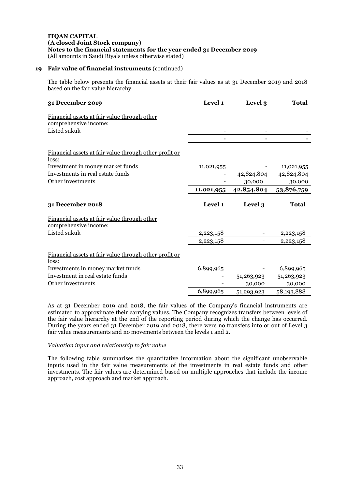## **19 Fair value of financial instruments** (continued)

The table below presents the financial assets at their fair values as at 31 December 2019 and 2018 based on the fair value hierarchy:

| 31 December 2019                                                                      | Level 1    | Level 3    | <b>Total</b> |
|---------------------------------------------------------------------------------------|------------|------------|--------------|
| Financial assets at fair value through other<br>comprehensive income:<br>Listed sukuk |            |            |              |
|                                                                                       |            |            |              |
| Financial assets at fair value through other profit or<br>loss:                       |            |            |              |
| Investment in money market funds                                                      | 11,021,955 |            | 11,021,955   |
| Investments in real estate funds                                                      |            | 42,824,804 | 42,824,804   |
| Other investments                                                                     |            | 30,000     | 30,000       |
|                                                                                       | 11,021,955 | 42,854,804 | 53,876,759   |
|                                                                                       |            |            |              |
| 31 December 2018                                                                      | Level 1    | Level 3    | <b>Total</b> |
| Financial assets at fair value through other<br><u>comprehensive income:</u>          |            |            |              |
| Listed sukuk                                                                          | 2,223,158  |            | 2,223,158    |
|                                                                                       | 2,223,158  |            | 2,223,158    |
| Financial assets at fair value through other profit or                                |            |            |              |
| <u>loss:</u><br>Investments in money market funds                                     | 6,899,965  |            | 6,899,965    |
| Investment in real estate funds                                                       |            | 51,263,923 | 51,263,923   |
| Other investments                                                                     |            | 30,000     | 30,000       |

As at 31 December 2019 and 2018, the fair values of the Company's financial instruments are estimated to approximate their carrying values. The Company recognizes transfers between levels of the fair value hierarchy at the end of the reporting period during which the change has occurred. During the years ended 31 December 2019 and 2018, there were no transfers into or out of Level 3 fair value measurements and no movements between the levels 1 and 2.

### *Valuation input and relationship to fair value*

The following table summarises the quantitative information about the significant unobservable inputs used in the fair value measurements of the investments in real estate funds and other investments. The fair values are determined based on multiple approaches that include the income approach, cost approach and market approach.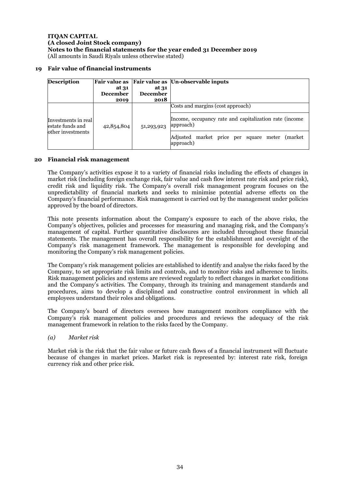## **19 Fair value of financial instruments**

| <b>Description</b>                       | Fair value as   |                 | <b>Fair value as Un-observable inputs</b>                           |
|------------------------------------------|-----------------|-----------------|---------------------------------------------------------------------|
|                                          | at 31           | at 31           |                                                                     |
|                                          | <b>December</b> | <b>December</b> |                                                                     |
|                                          | 2019            | 2018            |                                                                     |
|                                          |                 |                 | Costs and margins (cost approach)                                   |
| Investments in reall<br>estate funds and | 42,854,804      | 51,293,923      | Income, occupancy rate and capitalization rate (income<br>approach) |
| other investments                        |                 |                 | Adjusted market price per square meter<br>(market)<br>approach)     |

### **20 Financial risk management**

The Company's activities expose it to a variety of financial risks including the effects of changes in market risk (including foreign exchange risk, fair value and cash flow interest rate risk and price risk), credit risk and liquidity risk. The Company's overall risk management program focuses on the unpredictability of financial markets and seeks to minimise potential adverse effects on the Company's financial performance. Risk management is carried out by the management under policies approved by the board of directors.

This note presents information about the Company's exposure to each of the above risks, the Company's objectives, policies and processes for measuring and managing risk, and the Company's management of capital. Further quantitative disclosures are included throughout these financial statements. The management has overall responsibility for the establishment and oversight of the Company's risk management framework. The management is responsible for developing and monitoring the Company's risk management policies.

The Company's risk management policies are established to identify and analyse the risks faced by the Company, to set appropriate risk limits and controls, and to monitor risks and adherence to limits. Risk management policies and systems are reviewed regularly to reflect changes in market conditions and the Company's activities. The Company, through its training and management standards and procedures, aims to develop a disciplined and constructive control environment in which all employees understand their roles and obligations.

The Company's board of directors oversees how management monitors compliance with the Company's risk management policies and procedures and reviews the adequacy of the risk management framework in relation to the risks faced by the Company.

### *(a) Market risk*

Market risk is the risk that the fair value or future cash flows of a financial instrument will fluctuate because of changes in market prices. Market risk is represented by: interest rate risk, foreign currency risk and other price risk.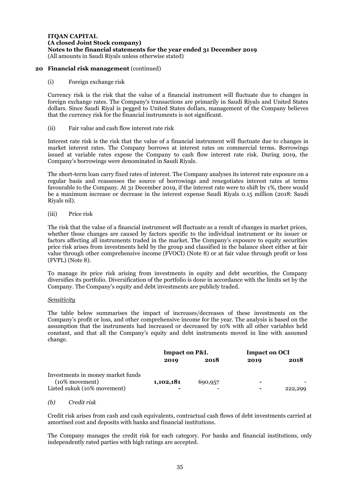### **20 Financial risk management** (continued)

(i) Foreign exchange risk

Currency risk is the risk that the value of a financial instrument will fluctuate due to changes in foreign exchange rates. The Company's transactions are primarily in Saudi Riyals and United States dollars. Since Saudi Riyal is pegged to United States dollars, management of the Company believes that the currency risk for the financial instruments is not significant.

(ii) Fair value and cash flow interest rate risk

Interest rate risk is the risk that the value of a financial instrument will fluctuate due to changes in market interest rates. The Company borrows at interest rates on commercial terms. Borrowings issued at variable rates expose the Company to cash flow interest rate risk. During 2019, the Company's borrowings were denominated in Saudi Riyals.

The short-term loan carry fixed rates of interest. The Company analyses its interest rate exposure on a regular basis and reassesses the source of borrowings and renegotiates interest rates at terms favourable to the Company. At 31 December 2019, if the interest rate were to shift by 1%, there would be a maximum increase or decrease in the interest expense Saudi Riyals 0.15 million (2018: Saudi Riyals nil).

### (iii) Price risk

The risk that the value of a financial instrument will fluctuate as a result of changes in market prices, whether those changes are caused by factors specific to the individual instrument or its issuer or factors affecting all instruments traded in the market. The Company's exposure to equity securities price risk arises from investments held by the group and classified in the balance sheet either at fair value through other comprehensive income (FVOCI) (Note 8) or at fair value through profit or loss (FVPL) (Note 8).

To manage its price risk arising from investments in equity and debt securities, the Company diversifies its portfolio. Diversification of the portfolio is done in accordance with the limits set by the Company. The Company's equity and debt investments are publicly traded.

### *Sensitivity*

The table below summarises the impact of increases/decreases of these investments on the Company's profit or loss, and other comprehensive income for the year. The analysis is based on the assumption that the instruments had increased or decreased by 10% with all other variables held constant, and that all the Company's equity and debt instruments moved in line with assumed change.

|                                   | <b>Impact on P&amp;L</b> |         | <b>Impact on OCI</b> |         |
|-----------------------------------|--------------------------|---------|----------------------|---------|
|                                   | 2019                     | 2018    | 2019                 | 2018    |
| Investments in money market funds |                          |         |                      |         |
| $(10\%$ movement)                 | 1,102,181                | 690,957 |                      |         |
| Listed sukuk (10% movement)       | -                        |         |                      | 222,299 |

### *(b) Credit risk*

Credit risk arises from cash and cash equivalents, contractual cash flows of debt investments carried at amortised cost and deposits with banks and financial institutions.

The Company manages the credit risk for each category. For banks and financial institutions, only independently rated parties with high ratings are accepted.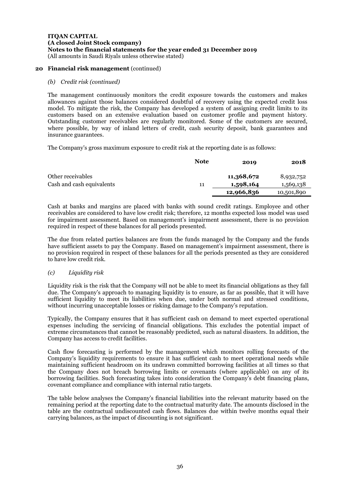### **20 Financial risk management** (continued)

### *(b) Credit risk (continued)*

The management continuously monitors the credit exposure towards the customers and makes allowances against those balances considered doubtful of recovery using the expected credit loss model. To mitigate the risk, the Company has developed a system of assigning credit limits to its customers based on an extensive evaluation based on customer profile and payment history. Outstanding customer receivables are regularly monitored. Some of the customers are secured, where possible, by way of inland letters of credit, cash security deposit, bank guarantees and insurance guarantees.

The Company's gross maximum exposure to credit risk at the reporting date is as follows:

|                           | <b>Note</b> | 2019       | 2018       |
|---------------------------|-------------|------------|------------|
| Other receivables         |             | 11,368,672 | 8,932,752  |
| Cash and cash equivalents | 11          | 1,598,164  | 1,569,138  |
|                           |             | 12,966,836 | 10,501,890 |

Cash at banks and margins are placed with banks with sound credit ratings. Employee and other receivables are considered to have low credit risk; therefore, 12 months expected loss model was used for impairment assessment. Based on management's impairment assessment, there is no provision required in respect of these balances for all periods presented.

The due from related parties balances are from the funds managed by the Company and the funds have sufficient assets to pay the Company. Based on management's impairment assessment, there is no provision required in respect of these balances for all the periods presented as they are considered to have low credit risk.

## *(c) Liquidity risk*

Liquidity risk is the risk that the Company will not be able to meet its financial obligations as they fall due. The Company's approach to managing liquidity is to ensure, as far as possible, that it will have sufficient liquidity to meet its liabilities when due, under both normal and stressed conditions, without incurring unacceptable losses or risking damage to the Company's reputation.

Typically, the Company ensures that it has sufficient cash on demand to meet expected operational expenses including the servicing of financial obligations. This excludes the potential impact of extreme circumstances that cannot be reasonably predicted, such as natural disasters. In addition, the Company has access to credit facilities.

Cash flow forecasting is performed by the management which monitors rolling forecasts of the Company's liquidity requirements to ensure it has sufficient cash to meet operational needs while maintaining sufficient headroom on its undrawn committed borrowing facilities at all times so that the Company does not breach borrowing limits or covenants (where applicable) on any of its borrowing facilities. Such forecasting takes into consideration the Company's debt financing plans, covenant compliance and compliance with internal ratio targets.

The table below analyses the Company's financial liabilities into the relevant maturity based on the remaining period at the reporting date to the contractual maturity date. The amounts disclosed in the table are the contractual undiscounted cash flows. Balances due within twelve months equal their carrying balances, as the impact of discounting is not significant.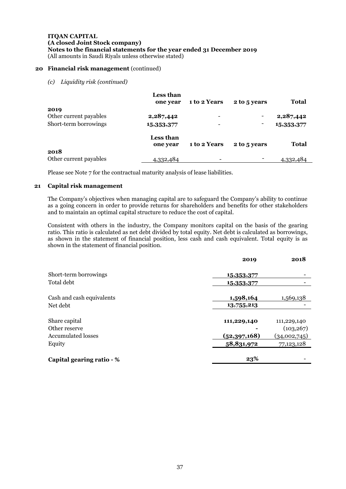### **20 Financial risk management** (continued)

### *(c) Liquidity risk (continued)*

|                        | <b>Less than</b><br>one year | 1 to 2 Years | 2 to 5 years | <b>Total</b> |
|------------------------|------------------------------|--------------|--------------|--------------|
| 2019                   |                              |              |              |              |
| Other current payables | 2,287,442                    |              |              | 2,287,442    |
| Short-term borrowings  | 15,353,377                   |              | -            | 15,353,377   |
|                        | Less than<br>one year        | 1 to 2 Years | 2 to 5 years | <b>Total</b> |
| 2018                   |                              |              |              |              |
| Other current payables | 4,332,484                    |              |              | 4,332,484    |

Please see Note 7 for the contractual maturity analysis of lease liabilities.

### **21 Capital risk management**

The Company's objectives when managing capital are to safeguard the Company's ability to continue as a going concern in order to provide returns for shareholders and benefits for other stakeholders and to maintain an optimal capital structure to reduce the cost of capital.

Consistent with others in the industry, the Company monitors capital on the basis of the gearing ratio. This ratio is calculated as net debt divided by total equity. Net debt is calculated as borrowings, as shown in the statement of financial position, less cash and cash equivalent. Total equity is as shown in the statement of financial position.

|                           | 2019         | 2018         |
|---------------------------|--------------|--------------|
| Short-term borrowings     | 15,353,377   |              |
| Total debt                | 15,353,377   |              |
| Cash and cash equivalents | 1,598,164    | 1,569,138    |
| Net debt                  | 13,755,213   |              |
| Share capital             | 111,229,140  | 111,229,140  |
| Other reserve             |              | (103, 267)   |
| <b>Accumulated losses</b> | (52,397,168) | (34,002,745) |
| Equity                    | 58,831,972   | 77,123,128   |
| Capital gearing ratio - % | 23%          |              |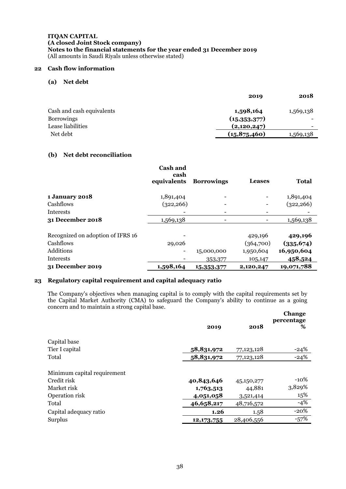### **22 Cash flow information**

### **(a) Net debt**

|                           | 2019           | 2018      |
|---------------------------|----------------|-----------|
| Cash and cash equivalents | 1,598,164      | 1,569,138 |
| <b>Borrowings</b>         | (15,353,377)   |           |
| Lease liabilities         | (2,120,247)    |           |
| Net debt                  | (15, 875, 460) | 1,569,138 |

### **(b) Net debt reconciliation**

|                                   | <b>Cash and</b><br>cash |                   |               |              |
|-----------------------------------|-------------------------|-------------------|---------------|--------------|
|                                   | equivalents             | <b>Borrowings</b> | <b>Leases</b> | <b>Total</b> |
| 1 January 2018                    | 1,891,404               |                   |               | 1,891,404    |
| Cashflows                         | (322, 266)              |                   |               | (322, 266)   |
| Interests                         |                         |                   |               |              |
| 31 December 2018                  | 1,569,138               |                   |               | 1,569,138    |
| Recognized on adoption of IFRS 16 |                         |                   | 429,196       | 429,196      |
| Cashflows                         | 29,026                  |                   | (364,700)     | (335, 674)   |
| Additions                         | -                       | 15,000,000        | 1,950,604     | 16,950,604   |
| <b>Interests</b>                  |                         | 353,377           | 105,147       | 458,524      |
| 31 December 2019                  | 1,598,164               | 15,353,377        | 2,120,247     | 19,071,788   |

### **23 Regulatory capital requirement and capital adequacy ratio**

The Company's objectives when managing capital is to comply with the capital requirements set by the Capital Market Authority (CMA) to safeguard the Company's ability to continue as a going concern and to maintain a strong capital base.

|                             | 2019       | 2018       | Change<br>percentage<br>% |
|-----------------------------|------------|------------|---------------------------|
| Capital base                |            |            |                           |
| Tier I capital              | 58,831,972 | 77,123,128 | $-24%$                    |
| Total                       | 58,831,972 | 77,123,128 | $-24%$                    |
| Minimum capital requirement |            |            |                           |
| Credit risk                 | 40,843,646 | 45,150,277 | $-10\%$                   |
| Market risk                 | 1,763,513  | 44,881     | 3,829%                    |
| Operation risk              | 4,051,058  | 3,521,414  | 15%                       |
| Total                       | 46,658,217 | 48,716,572 | $-4%$                     |
| Capital adequacy ratio      | 1.26       | 1.58       | $-20%$                    |
| Surplus                     | 12,173,755 | 28,406,556 | $-57\%$                   |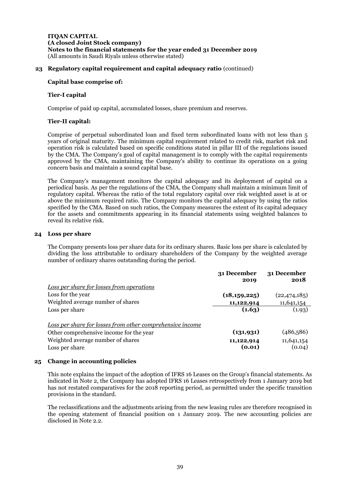### **23 Regulatory capital requirement and capital adequacy ratio** (continued)

### **Capital base comprise of:**

### **Tier-I capital**

Comprise of paid up capital, accumulated losses, share premium and reserves.

### **Tier-II capital:**

Comprise of perpetual subordinated loan and fixed term subordinated loans with not less than 5 years of original maturity. The minimum capital requirement related to credit risk, market risk and operation risk is calculated based on specific conditions stated in pillar III of the regulations issued by the CMA. The Company's goal of capital management is to comply with the capital requirements approved by the CMA, maintaining the Company's ability to continue its operations on a going concern basis and maintain a sound capital base.

The Company's management monitors the capital adequacy and its deployment of capital on a periodical basis. As per the regulations of the CMA, the Company shall maintain a minimum limit of regulatory capital. Whereas the ratio of the total regulatory capital over risk weighted asset is at or above the minimum required ratio. The Company monitors the capital adequacy by using the ratios specified by the CMA. Based on such ratios, the Company measures the extent of its capital adequacy for the assets and commitments appearing in its financial statements using weighted balances to reveal its relative risk.

### **24 Loss per share**

The Company presents loss per share data for its ordinary shares. Basic loss per share is calculated by dividing the loss attributable to ordinary shareholders of the Company by the weighted average number of ordinary shares outstanding during the period.

|                                                           | 31 December<br>2019 | 31 December<br>2018 |
|-----------------------------------------------------------|---------------------|---------------------|
| Loss per share for losses from operations                 |                     |                     |
| Loss for the year                                         | (18, 159, 225)      | (22, 474, 185)      |
| Weighted average number of shares                         | 11,122,914          | 11,641,154          |
| Loss per share                                            | (1.63)              | (1.93)              |
| Loss per share for losses from other comprehensive income |                     |                     |
| Other comprehensive income for the year                   | (131, 931)          | (486,586)           |
| Weighted average number of shares                         | 11,122,914          | 11,641,154          |
| Loss per share                                            | (0.01)              | (0.04)              |
|                                                           |                     |                     |

## **25 Change in accounting policies**

This note explains the impact of the adoption of IFRS 16 Leases on the Group's financial statements. As indicated in Note 2, the Company has adopted IFRS 16 Leases retrospectively from 1 January 2019 but has not restated comparatives for the 2018 reporting period, as permitted under the specific transition provisions in the standard.

The reclassifications and the adjustments arising from the new leasing rules are therefore recognised in the opening statement of financial position on 1 January 2019. The new accounting policies are disclosed in Note 2.2.